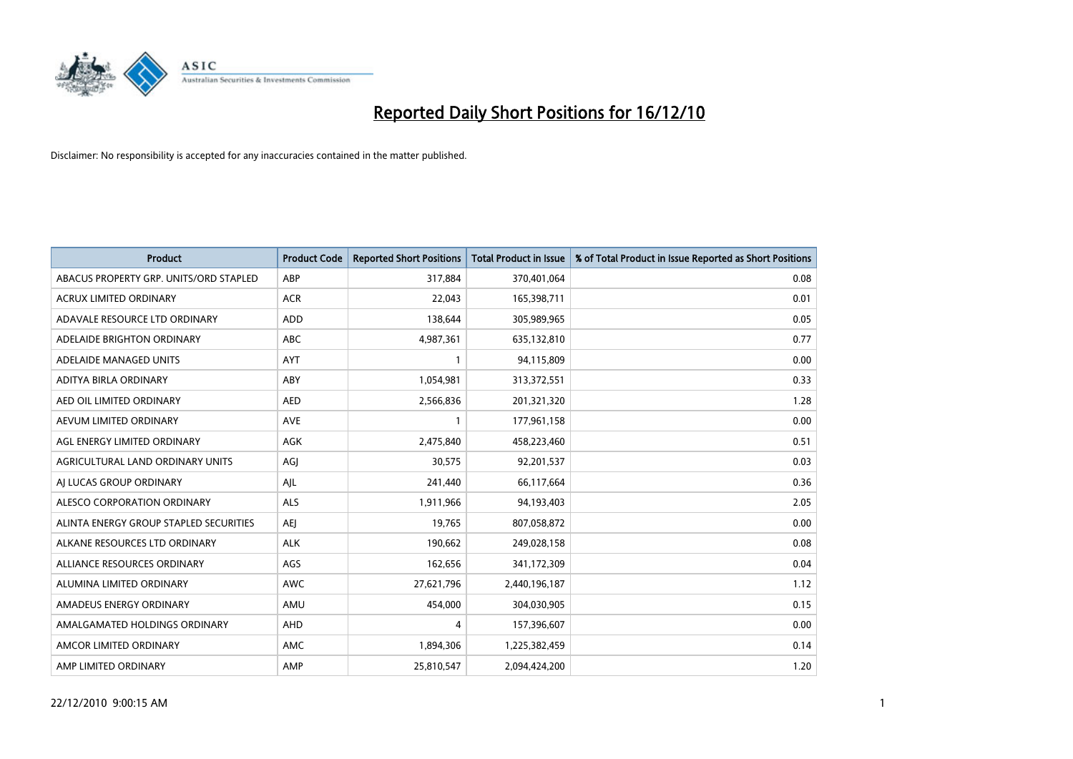

| <b>Product</b>                         | <b>Product Code</b> | <b>Reported Short Positions</b> | <b>Total Product in Issue</b> | % of Total Product in Issue Reported as Short Positions |
|----------------------------------------|---------------------|---------------------------------|-------------------------------|---------------------------------------------------------|
| ABACUS PROPERTY GRP. UNITS/ORD STAPLED | ABP                 | 317,884                         | 370,401,064                   | 0.08                                                    |
| ACRUX LIMITED ORDINARY                 | <b>ACR</b>          | 22,043                          | 165,398,711                   | 0.01                                                    |
| ADAVALE RESOURCE LTD ORDINARY          | <b>ADD</b>          | 138,644                         | 305,989,965                   | 0.05                                                    |
| ADELAIDE BRIGHTON ORDINARY             | <b>ABC</b>          | 4,987,361                       | 635,132,810                   | 0.77                                                    |
| ADELAIDE MANAGED UNITS                 | AYT                 |                                 | 94,115,809                    | 0.00                                                    |
| ADITYA BIRLA ORDINARY                  | ABY                 | 1,054,981                       | 313,372,551                   | 0.33                                                    |
| AED OIL LIMITED ORDINARY               | <b>AED</b>          | 2,566,836                       | 201,321,320                   | 1.28                                                    |
| AEVUM LIMITED ORDINARY                 | <b>AVE</b>          |                                 | 177,961,158                   | 0.00                                                    |
| AGL ENERGY LIMITED ORDINARY            | <b>AGK</b>          | 2,475,840                       | 458,223,460                   | 0.51                                                    |
| AGRICULTURAL LAND ORDINARY UNITS       | AGI                 | 30,575                          | 92,201,537                    | 0.03                                                    |
| AI LUCAS GROUP ORDINARY                | AJL                 | 241,440                         | 66,117,664                    | 0.36                                                    |
| ALESCO CORPORATION ORDINARY            | <b>ALS</b>          | 1,911,966                       | 94,193,403                    | 2.05                                                    |
| ALINTA ENERGY GROUP STAPLED SECURITIES | <b>AEI</b>          | 19,765                          | 807,058,872                   | 0.00                                                    |
| ALKANE RESOURCES LTD ORDINARY          | <b>ALK</b>          | 190,662                         | 249,028,158                   | 0.08                                                    |
| ALLIANCE RESOURCES ORDINARY            | AGS                 | 162,656                         | 341,172,309                   | 0.04                                                    |
| ALUMINA LIMITED ORDINARY               | <b>AWC</b>          | 27,621,796                      | 2,440,196,187                 | 1.12                                                    |
| AMADEUS ENERGY ORDINARY                | AMU                 | 454,000                         | 304,030,905                   | 0.15                                                    |
| AMALGAMATED HOLDINGS ORDINARY          | AHD                 | 4                               | 157,396,607                   | 0.00                                                    |
| AMCOR LIMITED ORDINARY                 | AMC                 | 1,894,306                       | 1,225,382,459                 | 0.14                                                    |
| AMP LIMITED ORDINARY                   | AMP                 | 25,810,547                      | 2,094,424,200                 | 1.20                                                    |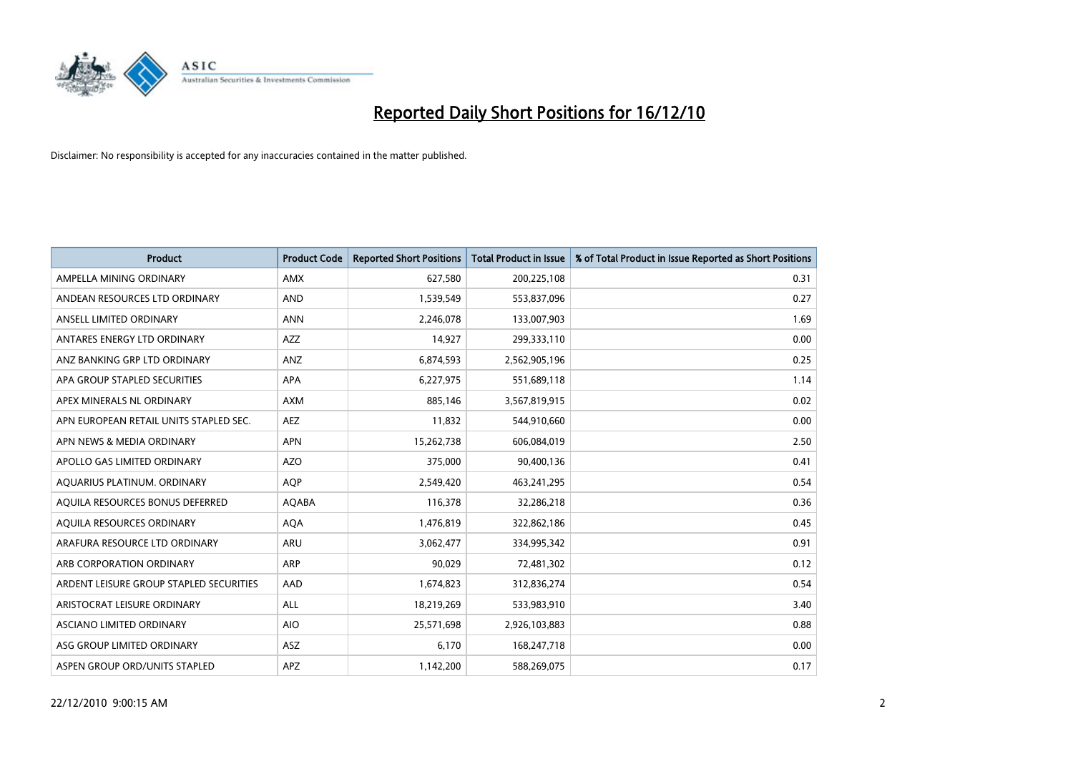

| <b>Product</b>                          | <b>Product Code</b> | <b>Reported Short Positions</b> | Total Product in Issue | % of Total Product in Issue Reported as Short Positions |
|-----------------------------------------|---------------------|---------------------------------|------------------------|---------------------------------------------------------|
| AMPELLA MINING ORDINARY                 | <b>AMX</b>          | 627,580                         | 200,225,108            | 0.31                                                    |
| ANDEAN RESOURCES LTD ORDINARY           | <b>AND</b>          | 1,539,549                       | 553,837,096            | 0.27                                                    |
| ANSELL LIMITED ORDINARY                 | <b>ANN</b>          | 2,246,078                       | 133,007,903            | 1.69                                                    |
| ANTARES ENERGY LTD ORDINARY             | <b>AZZ</b>          | 14,927                          | 299,333,110            | 0.00                                                    |
| ANZ BANKING GRP LTD ORDINARY            | ANZ                 | 6,874,593                       | 2,562,905,196          | 0.25                                                    |
| APA GROUP STAPLED SECURITIES            | <b>APA</b>          | 6,227,975                       | 551,689,118            | 1.14                                                    |
| APEX MINERALS NL ORDINARY               | <b>AXM</b>          | 885.146                         | 3,567,819,915          | 0.02                                                    |
| APN EUROPEAN RETAIL UNITS STAPLED SEC.  | AEZ                 | 11,832                          | 544,910,660            | 0.00                                                    |
| APN NEWS & MEDIA ORDINARY               | <b>APN</b>          | 15,262,738                      | 606,084,019            | 2.50                                                    |
| APOLLO GAS LIMITED ORDINARY             | <b>AZO</b>          | 375,000                         | 90,400,136             | 0.41                                                    |
| AQUARIUS PLATINUM. ORDINARY             | AQP                 | 2,549,420                       | 463,241,295            | 0.54                                                    |
| AQUILA RESOURCES BONUS DEFERRED         | <b>AQABA</b>        | 116,378                         | 32,286,218             | 0.36                                                    |
| AQUILA RESOURCES ORDINARY               | <b>AQA</b>          | 1,476,819                       | 322,862,186            | 0.45                                                    |
| ARAFURA RESOURCE LTD ORDINARY           | <b>ARU</b>          | 3,062,477                       | 334,995,342            | 0.91                                                    |
| ARB CORPORATION ORDINARY                | ARP                 | 90,029                          | 72,481,302             | 0.12                                                    |
| ARDENT LEISURE GROUP STAPLED SECURITIES | AAD                 | 1,674,823                       | 312,836,274            | 0.54                                                    |
| ARISTOCRAT LEISURE ORDINARY             | <b>ALL</b>          | 18,219,269                      | 533,983,910            | 3.40                                                    |
| ASCIANO LIMITED ORDINARY                | <b>AIO</b>          | 25,571,698                      | 2,926,103,883          | 0.88                                                    |
| ASG GROUP LIMITED ORDINARY              | <b>ASZ</b>          | 6,170                           | 168,247,718            | 0.00                                                    |
| ASPEN GROUP ORD/UNITS STAPLED           | <b>APZ</b>          | 1,142,200                       | 588,269,075            | 0.17                                                    |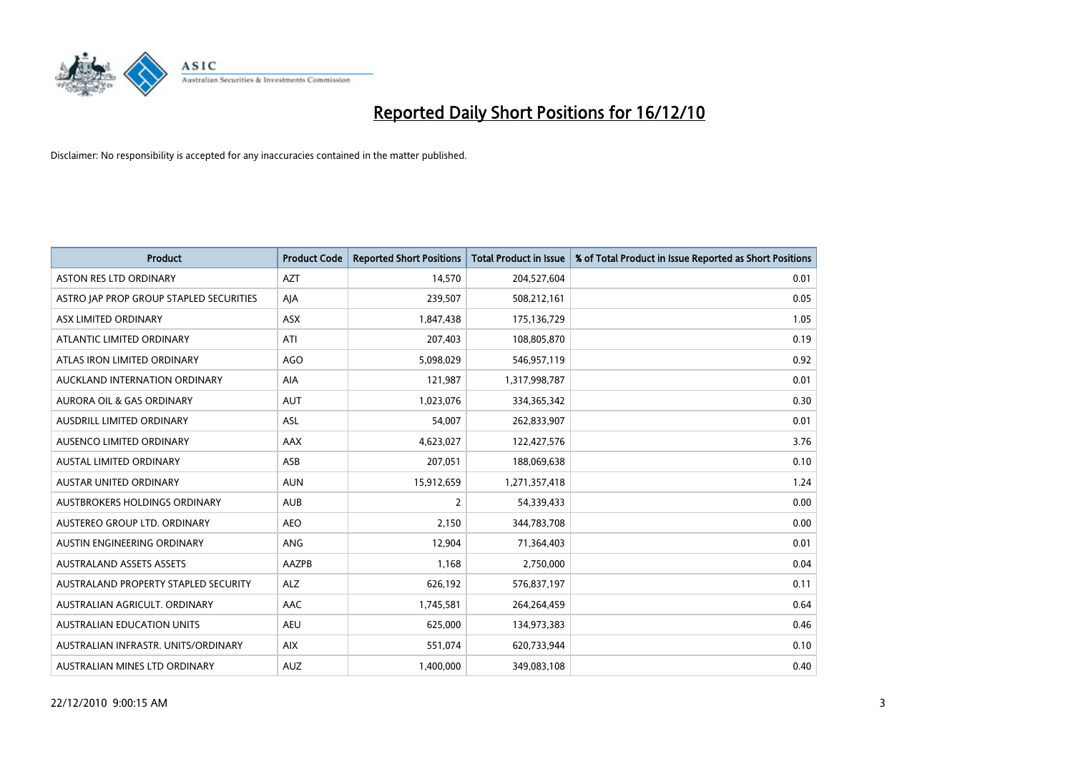

| <b>Product</b>                          | <b>Product Code</b> | <b>Reported Short Positions</b> | <b>Total Product in Issue</b> | % of Total Product in Issue Reported as Short Positions |
|-----------------------------------------|---------------------|---------------------------------|-------------------------------|---------------------------------------------------------|
| <b>ASTON RES LTD ORDINARY</b>           | <b>AZT</b>          | 14,570                          | 204,527,604                   | 0.01                                                    |
| ASTRO JAP PROP GROUP STAPLED SECURITIES | AJA                 | 239,507                         | 508,212,161                   | 0.05                                                    |
| ASX LIMITED ORDINARY                    | <b>ASX</b>          | 1,847,438                       | 175,136,729                   | 1.05                                                    |
| ATLANTIC LIMITED ORDINARY               | ATI                 | 207,403                         | 108,805,870                   | 0.19                                                    |
| ATLAS IRON LIMITED ORDINARY             | <b>AGO</b>          | 5,098,029                       | 546,957,119                   | 0.92                                                    |
| AUCKLAND INTERNATION ORDINARY           | AIA                 | 121,987                         | 1,317,998,787                 | 0.01                                                    |
| <b>AURORA OIL &amp; GAS ORDINARY</b>    | <b>AUT</b>          | 1,023,076                       | 334,365,342                   | 0.30                                                    |
| <b>AUSDRILL LIMITED ORDINARY</b>        | <b>ASL</b>          | 54,007                          | 262,833,907                   | 0.01                                                    |
| AUSENCO LIMITED ORDINARY                | <b>AAX</b>          | 4,623,027                       | 122,427,576                   | 3.76                                                    |
| <b>AUSTAL LIMITED ORDINARY</b>          | ASB                 | 207,051                         | 188,069,638                   | 0.10                                                    |
| AUSTAR UNITED ORDINARY                  | <b>AUN</b>          | 15,912,659                      | 1,271,357,418                 | 1.24                                                    |
| <b>AUSTBROKERS HOLDINGS ORDINARY</b>    | <b>AUB</b>          | 2                               | 54,339,433                    | 0.00                                                    |
| AUSTEREO GROUP LTD. ORDINARY            | <b>AEO</b>          | 2,150                           | 344,783,708                   | 0.00                                                    |
| AUSTIN ENGINEERING ORDINARY             | ANG                 | 12,904                          | 71,364,403                    | 0.01                                                    |
| <b>AUSTRALAND ASSETS ASSETS</b>         | AAZPB               | 1,168                           | 2,750,000                     | 0.04                                                    |
| AUSTRALAND PROPERTY STAPLED SECURITY    | <b>ALZ</b>          | 626,192                         | 576,837,197                   | 0.11                                                    |
| AUSTRALIAN AGRICULT, ORDINARY           | <b>AAC</b>          | 1,745,581                       | 264,264,459                   | 0.64                                                    |
| AUSTRALIAN EDUCATION UNITS              | <b>AEU</b>          | 625,000                         | 134,973,383                   | 0.46                                                    |
| AUSTRALIAN INFRASTR, UNITS/ORDINARY     | <b>AIX</b>          | 551,074                         | 620,733,944                   | 0.10                                                    |
| AUSTRALIAN MINES LTD ORDINARY           | <b>AUZ</b>          | 1.400.000                       | 349,083,108                   | 0.40                                                    |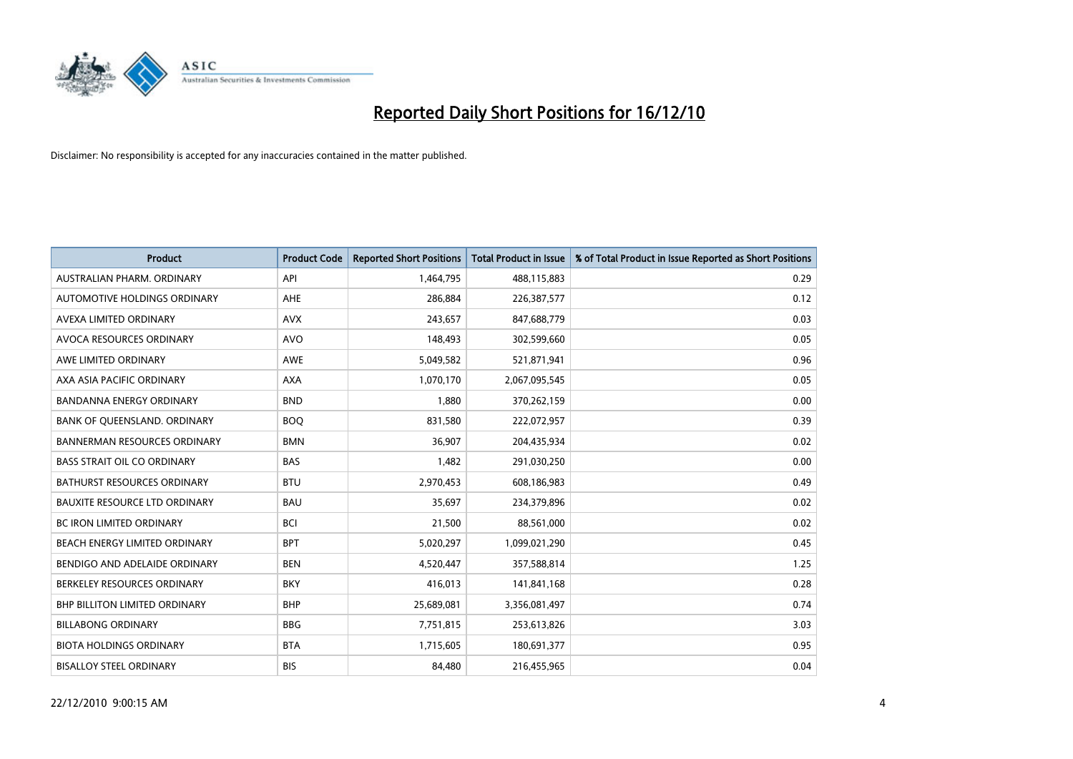

| <b>Product</b>                       | <b>Product Code</b> | <b>Reported Short Positions</b> | <b>Total Product in Issue</b> | % of Total Product in Issue Reported as Short Positions |
|--------------------------------------|---------------------|---------------------------------|-------------------------------|---------------------------------------------------------|
| AUSTRALIAN PHARM, ORDINARY           | API                 | 1,464,795                       | 488,115,883                   | 0.29                                                    |
| AUTOMOTIVE HOLDINGS ORDINARY         | <b>AHE</b>          | 286,884                         | 226,387,577                   | 0.12                                                    |
| AVEXA LIMITED ORDINARY               | <b>AVX</b>          | 243,657                         | 847,688,779                   | 0.03                                                    |
| AVOCA RESOURCES ORDINARY             | <b>AVO</b>          | 148,493                         | 302,599,660                   | 0.05                                                    |
| AWE LIMITED ORDINARY                 | <b>AWE</b>          | 5,049,582                       | 521,871,941                   | 0.96                                                    |
| AXA ASIA PACIFIC ORDINARY            | <b>AXA</b>          | 1,070,170                       | 2,067,095,545                 | 0.05                                                    |
| BANDANNA ENERGY ORDINARY             | <b>BND</b>          | 1,880                           | 370,262,159                   | 0.00                                                    |
| BANK OF QUEENSLAND. ORDINARY         | <b>BOO</b>          | 831,580                         | 222,072,957                   | 0.39                                                    |
| <b>BANNERMAN RESOURCES ORDINARY</b>  | <b>BMN</b>          | 36,907                          | 204,435,934                   | 0.02                                                    |
| <b>BASS STRAIT OIL CO ORDINARY</b>   | <b>BAS</b>          | 1,482                           | 291,030,250                   | 0.00                                                    |
| BATHURST RESOURCES ORDINARY          | <b>BTU</b>          | 2,970,453                       | 608,186,983                   | 0.49                                                    |
| <b>BAUXITE RESOURCE LTD ORDINARY</b> | <b>BAU</b>          | 35,697                          | 234,379,896                   | 0.02                                                    |
| <b>BC IRON LIMITED ORDINARY</b>      | <b>BCI</b>          | 21,500                          | 88,561,000                    | 0.02                                                    |
| BEACH ENERGY LIMITED ORDINARY        | <b>BPT</b>          | 5,020,297                       | 1,099,021,290                 | 0.45                                                    |
| BENDIGO AND ADELAIDE ORDINARY        | <b>BEN</b>          | 4,520,447                       | 357,588,814                   | 1.25                                                    |
| BERKELEY RESOURCES ORDINARY          | <b>BKY</b>          | 416,013                         | 141,841,168                   | 0.28                                                    |
| BHP BILLITON LIMITED ORDINARY        | <b>BHP</b>          | 25,689,081                      | 3,356,081,497                 | 0.74                                                    |
| <b>BILLABONG ORDINARY</b>            | <b>BBG</b>          | 7,751,815                       | 253,613,826                   | 3.03                                                    |
| <b>BIOTA HOLDINGS ORDINARY</b>       | <b>BTA</b>          | 1,715,605                       | 180,691,377                   | 0.95                                                    |
| <b>BISALLOY STEEL ORDINARY</b>       | <b>BIS</b>          | 84,480                          | 216,455,965                   | 0.04                                                    |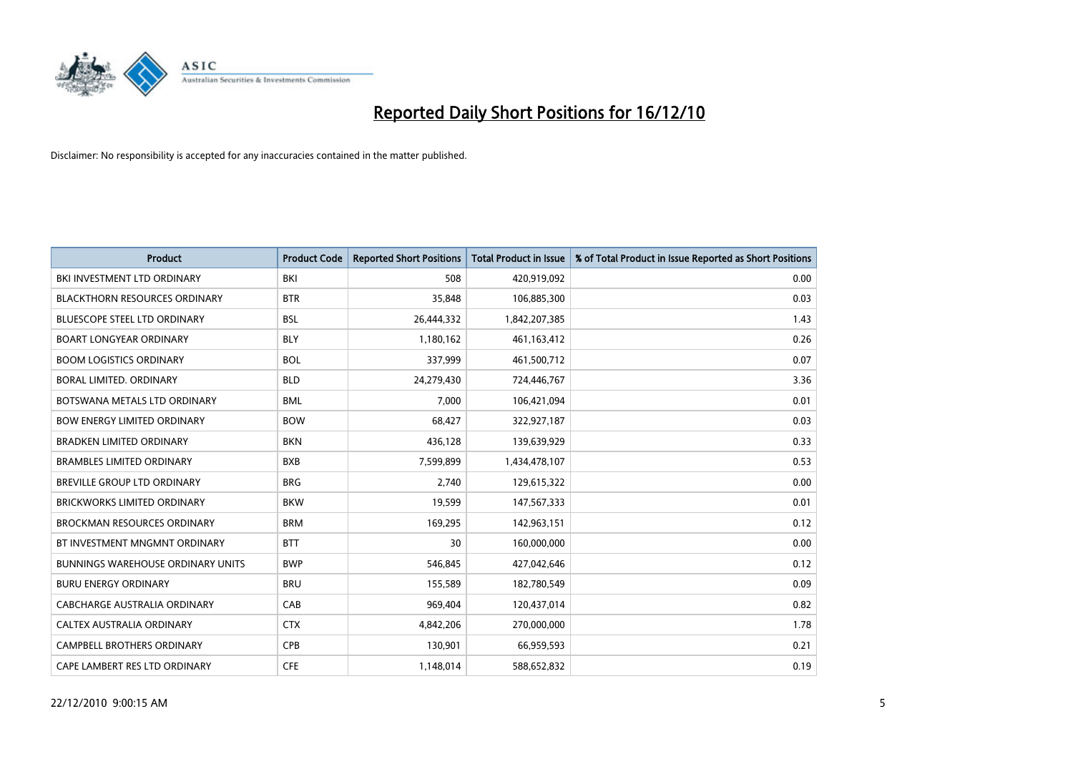

| <b>Product</b>                           | <b>Product Code</b> | <b>Reported Short Positions</b> | <b>Total Product in Issue</b> | % of Total Product in Issue Reported as Short Positions |
|------------------------------------------|---------------------|---------------------------------|-------------------------------|---------------------------------------------------------|
| BKI INVESTMENT LTD ORDINARY              | BKI                 | 508                             | 420,919,092                   | 0.00                                                    |
| <b>BLACKTHORN RESOURCES ORDINARY</b>     | <b>BTR</b>          | 35,848                          | 106,885,300                   | 0.03                                                    |
| <b>BLUESCOPE STEEL LTD ORDINARY</b>      | <b>BSL</b>          | 26,444,332                      | 1,842,207,385                 | 1.43                                                    |
| <b>BOART LONGYEAR ORDINARY</b>           | <b>BLY</b>          | 1,180,162                       | 461,163,412                   | 0.26                                                    |
| <b>BOOM LOGISTICS ORDINARY</b>           | <b>BOL</b>          | 337,999                         | 461,500,712                   | 0.07                                                    |
| <b>BORAL LIMITED, ORDINARY</b>           | <b>BLD</b>          | 24,279,430                      | 724,446,767                   | 3.36                                                    |
| BOTSWANA METALS LTD ORDINARY             | <b>BML</b>          | 7,000                           | 106,421,094                   | 0.01                                                    |
| <b>BOW ENERGY LIMITED ORDINARY</b>       | <b>BOW</b>          | 68,427                          | 322,927,187                   | 0.03                                                    |
| <b>BRADKEN LIMITED ORDINARY</b>          | <b>BKN</b>          | 436,128                         | 139,639,929                   | 0.33                                                    |
| <b>BRAMBLES LIMITED ORDINARY</b>         | <b>BXB</b>          | 7,599,899                       | 1,434,478,107                 | 0.53                                                    |
| BREVILLE GROUP LTD ORDINARY              | <b>BRG</b>          | 2,740                           | 129,615,322                   | 0.00                                                    |
| <b>BRICKWORKS LIMITED ORDINARY</b>       | <b>BKW</b>          | 19,599                          | 147,567,333                   | 0.01                                                    |
| <b>BROCKMAN RESOURCES ORDINARY</b>       | <b>BRM</b>          | 169,295                         | 142,963,151                   | 0.12                                                    |
| BT INVESTMENT MNGMNT ORDINARY            | <b>BTT</b>          | 30                              | 160,000,000                   | 0.00                                                    |
| <b>BUNNINGS WAREHOUSE ORDINARY UNITS</b> | <b>BWP</b>          | 546,845                         | 427,042,646                   | 0.12                                                    |
| <b>BURU ENERGY ORDINARY</b>              | <b>BRU</b>          | 155,589                         | 182,780,549                   | 0.09                                                    |
| <b>CABCHARGE AUSTRALIA ORDINARY</b>      | CAB                 | 969,404                         | 120,437,014                   | 0.82                                                    |
| CALTEX AUSTRALIA ORDINARY                | <b>CTX</b>          | 4,842,206                       | 270,000,000                   | 1.78                                                    |
| CAMPBELL BROTHERS ORDINARY               | CPB                 | 130,901                         | 66,959,593                    | 0.21                                                    |
| CAPE LAMBERT RES LTD ORDINARY            | <b>CFE</b>          | 1,148,014                       | 588,652,832                   | 0.19                                                    |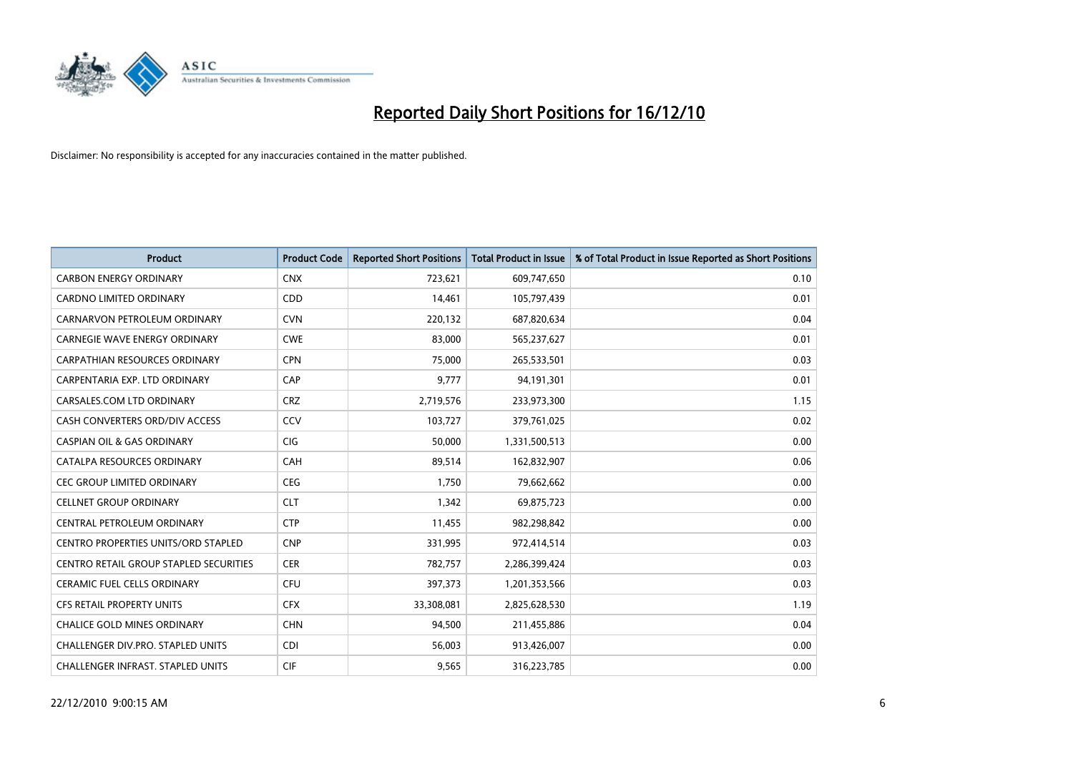

| <b>Product</b>                         | <b>Product Code</b> | <b>Reported Short Positions</b> | <b>Total Product in Issue</b> | % of Total Product in Issue Reported as Short Positions |
|----------------------------------------|---------------------|---------------------------------|-------------------------------|---------------------------------------------------------|
| <b>CARBON ENERGY ORDINARY</b>          | <b>CNX</b>          | 723,621                         | 609,747,650                   | 0.10                                                    |
| CARDNO LIMITED ORDINARY                | <b>CDD</b>          | 14,461                          | 105,797,439                   | 0.01                                                    |
| CARNARVON PETROLEUM ORDINARY           | <b>CVN</b>          | 220,132                         | 687,820,634                   | 0.04                                                    |
| <b>CARNEGIE WAVE ENERGY ORDINARY</b>   | <b>CWE</b>          | 83,000                          | 565,237,627                   | 0.01                                                    |
| <b>CARPATHIAN RESOURCES ORDINARY</b>   | <b>CPN</b>          | 75,000                          | 265,533,501                   | 0.03                                                    |
| CARPENTARIA EXP. LTD ORDINARY          | CAP                 | 9,777                           | 94,191,301                    | 0.01                                                    |
| CARSALES.COM LTD ORDINARY              | <b>CRZ</b>          | 2,719,576                       | 233,973,300                   | 1.15                                                    |
| CASH CONVERTERS ORD/DIV ACCESS         | CCV                 | 103,727                         | 379,761,025                   | 0.02                                                    |
| <b>CASPIAN OIL &amp; GAS ORDINARY</b>  | <b>CIG</b>          | 50,000                          | 1,331,500,513                 | 0.00                                                    |
| CATALPA RESOURCES ORDINARY             | <b>CAH</b>          | 89,514                          | 162,832,907                   | 0.06                                                    |
| CEC GROUP LIMITED ORDINARY             | <b>CEG</b>          | 1,750                           | 79,662,662                    | 0.00                                                    |
| <b>CELLNET GROUP ORDINARY</b>          | <b>CLT</b>          | 1,342                           | 69,875,723                    | 0.00                                                    |
| CENTRAL PETROLEUM ORDINARY             | <b>CTP</b>          | 11,455                          | 982,298,842                   | 0.00                                                    |
| CENTRO PROPERTIES UNITS/ORD STAPLED    | <b>CNP</b>          | 331,995                         | 972,414,514                   | 0.03                                                    |
| CENTRO RETAIL GROUP STAPLED SECURITIES | <b>CER</b>          | 782,757                         | 2,286,399,424                 | 0.03                                                    |
| <b>CERAMIC FUEL CELLS ORDINARY</b>     | <b>CFU</b>          | 397,373                         | 1,201,353,566                 | 0.03                                                    |
| CFS RETAIL PROPERTY UNITS              | <b>CFX</b>          | 33,308,081                      | 2,825,628,530                 | 1.19                                                    |
| <b>CHALICE GOLD MINES ORDINARY</b>     | <b>CHN</b>          | 94,500                          | 211,455,886                   | 0.04                                                    |
| CHALLENGER DIV.PRO. STAPLED UNITS      | <b>CDI</b>          | 56,003                          | 913,426,007                   | 0.00                                                    |
| CHALLENGER INFRAST. STAPLED UNITS      | <b>CIF</b>          | 9,565                           | 316,223,785                   | 0.00                                                    |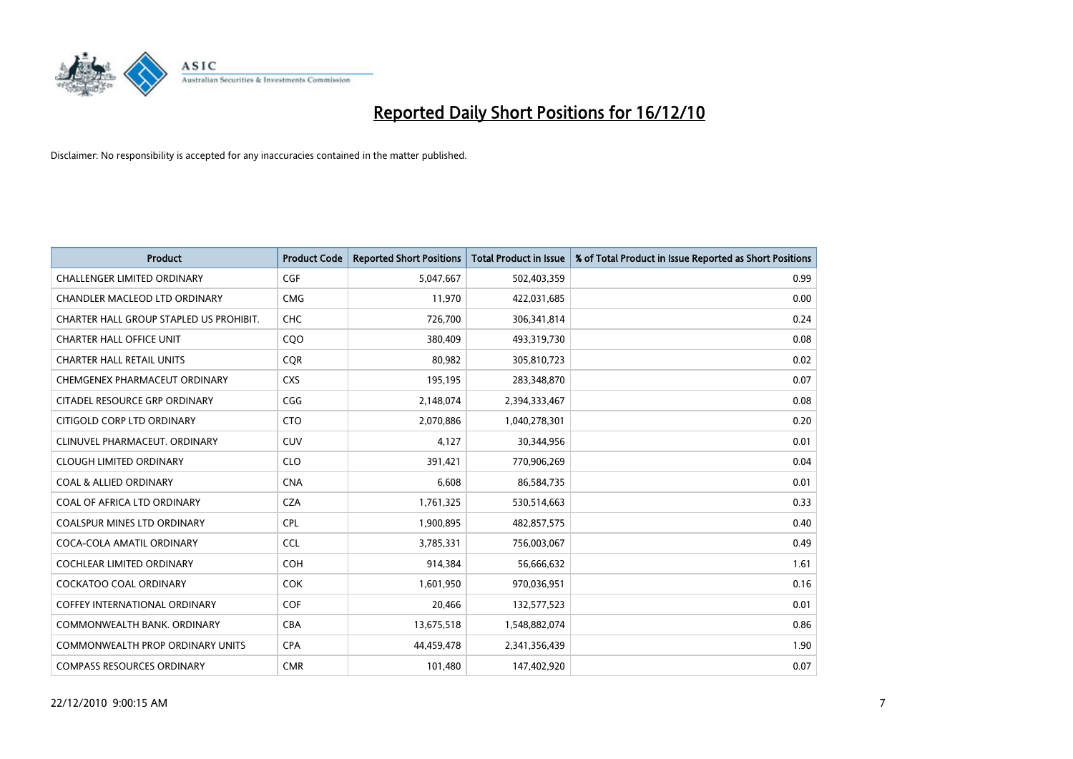

| <b>Product</b>                          | <b>Product Code</b> | <b>Reported Short Positions</b> | <b>Total Product in Issue</b> | % of Total Product in Issue Reported as Short Positions |
|-----------------------------------------|---------------------|---------------------------------|-------------------------------|---------------------------------------------------------|
| <b>CHALLENGER LIMITED ORDINARY</b>      | CGF                 | 5,047,667                       | 502,403,359                   | 0.99                                                    |
| CHANDLER MACLEOD LTD ORDINARY           | <b>CMG</b>          | 11,970                          | 422,031,685                   | 0.00                                                    |
| CHARTER HALL GROUP STAPLED US PROHIBIT. | <b>CHC</b>          | 726,700                         | 306,341,814                   | 0.24                                                    |
| <b>CHARTER HALL OFFICE UNIT</b>         | COO                 | 380,409                         | 493,319,730                   | 0.08                                                    |
| <b>CHARTER HALL RETAIL UNITS</b>        | <b>COR</b>          | 80,982                          | 305,810,723                   | 0.02                                                    |
| CHEMGENEX PHARMACEUT ORDINARY           | <b>CXS</b>          | 195,195                         | 283,348,870                   | 0.07                                                    |
| CITADEL RESOURCE GRP ORDINARY           | CGG                 | 2,148,074                       | 2,394,333,467                 | 0.08                                                    |
| CITIGOLD CORP LTD ORDINARY              | <b>CTO</b>          | 2,070,886                       | 1,040,278,301                 | 0.20                                                    |
| CLINUVEL PHARMACEUT, ORDINARY           | <b>CUV</b>          | 4,127                           | 30,344,956                    | 0.01                                                    |
| <b>CLOUGH LIMITED ORDINARY</b>          | <b>CLO</b>          | 391,421                         | 770,906,269                   | 0.04                                                    |
| <b>COAL &amp; ALLIED ORDINARY</b>       | <b>CNA</b>          | 6,608                           | 86,584,735                    | 0.01                                                    |
| COAL OF AFRICA LTD ORDINARY             | <b>CZA</b>          | 1,761,325                       | 530,514,663                   | 0.33                                                    |
| COALSPUR MINES LTD ORDINARY             | CPL                 | 1,900,895                       | 482,857,575                   | 0.40                                                    |
| COCA-COLA AMATIL ORDINARY               | <b>CCL</b>          | 3,785,331                       | 756,003,067                   | 0.49                                                    |
| <b>COCHLEAR LIMITED ORDINARY</b>        | COH                 | 914,384                         | 56,666,632                    | 1.61                                                    |
| <b>COCKATOO COAL ORDINARY</b>           | <b>COK</b>          | 1,601,950                       | 970,036,951                   | 0.16                                                    |
| COFFEY INTERNATIONAL ORDINARY           | <b>COF</b>          | 20,466                          | 132,577,523                   | 0.01                                                    |
| COMMONWEALTH BANK, ORDINARY             | <b>CBA</b>          | 13,675,518                      | 1,548,882,074                 | 0.86                                                    |
| <b>COMMONWEALTH PROP ORDINARY UNITS</b> | <b>CPA</b>          | 44,459,478                      | 2,341,356,439                 | 1.90                                                    |
| <b>COMPASS RESOURCES ORDINARY</b>       | <b>CMR</b>          | 101,480                         | 147,402,920                   | 0.07                                                    |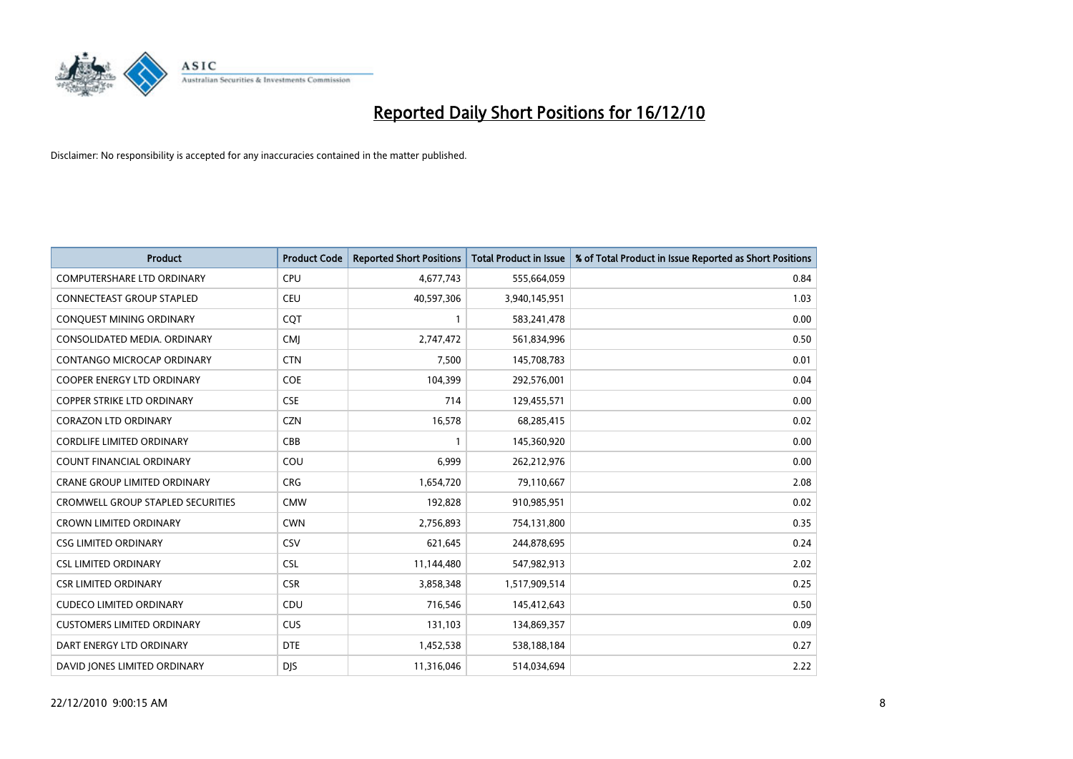

| <b>Product</b>                    | <b>Product Code</b> | <b>Reported Short Positions</b> | Total Product in Issue | % of Total Product in Issue Reported as Short Positions |
|-----------------------------------|---------------------|---------------------------------|------------------------|---------------------------------------------------------|
| <b>COMPUTERSHARE LTD ORDINARY</b> | <b>CPU</b>          | 4,677,743                       | 555,664,059            | 0.84                                                    |
| CONNECTEAST GROUP STAPLED         | CEU                 | 40,597,306                      | 3,940,145,951          | 1.03                                                    |
| CONQUEST MINING ORDINARY          | CQT                 |                                 | 583,241,478            | 0.00                                                    |
| CONSOLIDATED MEDIA. ORDINARY      | <b>CMJ</b>          | 2,747,472                       | 561,834,996            | 0.50                                                    |
| <b>CONTANGO MICROCAP ORDINARY</b> | <b>CTN</b>          | 7,500                           | 145,708,783            | 0.01                                                    |
| <b>COOPER ENERGY LTD ORDINARY</b> | <b>COE</b>          | 104,399                         | 292,576,001            | 0.04                                                    |
| COPPER STRIKE LTD ORDINARY        | <b>CSE</b>          | 714                             | 129,455,571            | 0.00                                                    |
| <b>CORAZON LTD ORDINARY</b>       | <b>CZN</b>          | 16,578                          | 68,285,415             | 0.02                                                    |
| <b>CORDLIFE LIMITED ORDINARY</b>  | CBB                 |                                 | 145,360,920            | 0.00                                                    |
| <b>COUNT FINANCIAL ORDINARY</b>   | COU                 | 6,999                           | 262,212,976            | 0.00                                                    |
| CRANE GROUP LIMITED ORDINARY      | <b>CRG</b>          | 1,654,720                       | 79,110,667             | 2.08                                                    |
| CROMWELL GROUP STAPLED SECURITIES | <b>CMW</b>          | 192,828                         | 910,985,951            | 0.02                                                    |
| <b>CROWN LIMITED ORDINARY</b>     | <b>CWN</b>          | 2,756,893                       | 754,131,800            | 0.35                                                    |
| <b>CSG LIMITED ORDINARY</b>       | CSV                 | 621,645                         | 244,878,695            | 0.24                                                    |
| <b>CSL LIMITED ORDINARY</b>       | <b>CSL</b>          | 11,144,480                      | 547,982,913            | 2.02                                                    |
| <b>CSR LIMITED ORDINARY</b>       | <b>CSR</b>          | 3,858,348                       | 1,517,909,514          | 0.25                                                    |
| <b>CUDECO LIMITED ORDINARY</b>    | CDU                 | 716,546                         | 145,412,643            | 0.50                                                    |
| <b>CUSTOMERS LIMITED ORDINARY</b> | CUS                 | 131,103                         | 134,869,357            | 0.09                                                    |
| DART ENERGY LTD ORDINARY          | <b>DTE</b>          | 1,452,538                       | 538,188,184            | 0.27                                                    |
| DAVID JONES LIMITED ORDINARY      | <b>DJS</b>          | 11,316,046                      | 514,034,694            | 2.22                                                    |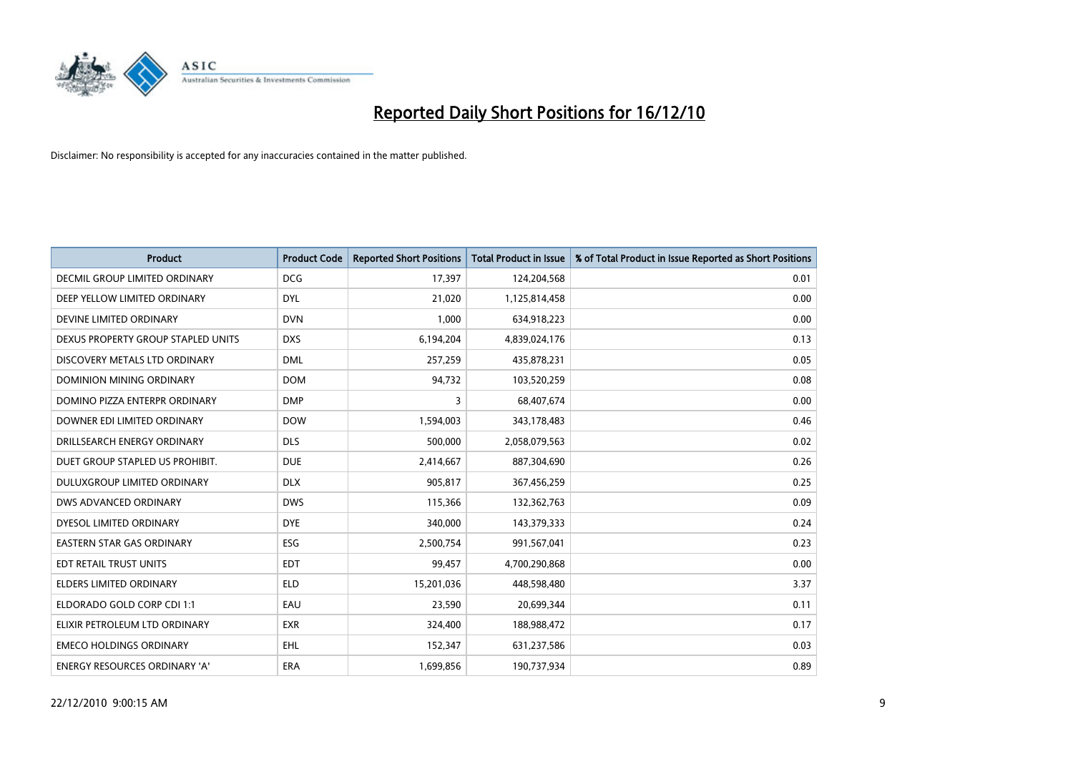

| <b>Product</b>                     | <b>Product Code</b> | <b>Reported Short Positions</b> | <b>Total Product in Issue</b> | % of Total Product in Issue Reported as Short Positions |
|------------------------------------|---------------------|---------------------------------|-------------------------------|---------------------------------------------------------|
| DECMIL GROUP LIMITED ORDINARY      | <b>DCG</b>          | 17,397                          | 124,204,568                   | 0.01                                                    |
| DEEP YELLOW LIMITED ORDINARY       | <b>DYL</b>          | 21,020                          | 1,125,814,458                 | 0.00                                                    |
| DEVINE LIMITED ORDINARY            | <b>DVN</b>          | 1,000                           | 634,918,223                   | 0.00                                                    |
| DEXUS PROPERTY GROUP STAPLED UNITS | <b>DXS</b>          | 6,194,204                       | 4,839,024,176                 | 0.13                                                    |
| DISCOVERY METALS LTD ORDINARY      | <b>DML</b>          | 257,259                         | 435,878,231                   | 0.05                                                    |
| <b>DOMINION MINING ORDINARY</b>    | <b>DOM</b>          | 94,732                          | 103,520,259                   | 0.08                                                    |
| DOMINO PIZZA ENTERPR ORDINARY      | <b>DMP</b>          | 3                               | 68,407,674                    | 0.00                                                    |
| DOWNER EDI LIMITED ORDINARY        | <b>DOW</b>          | 1,594,003                       | 343,178,483                   | 0.46                                                    |
| DRILLSEARCH ENERGY ORDINARY        | <b>DLS</b>          | 500.000                         | 2,058,079,563                 | 0.02                                                    |
| DUET GROUP STAPLED US PROHIBIT.    | <b>DUE</b>          | 2,414,667                       | 887,304,690                   | 0.26                                                    |
| DULUXGROUP LIMITED ORDINARY        | <b>DLX</b>          | 905,817                         | 367,456,259                   | 0.25                                                    |
| DWS ADVANCED ORDINARY              | <b>DWS</b>          | 115,366                         | 132,362,763                   | 0.09                                                    |
| DYESOL LIMITED ORDINARY            | <b>DYE</b>          | 340,000                         | 143,379,333                   | 0.24                                                    |
| <b>EASTERN STAR GAS ORDINARY</b>   | ESG                 | 2,500,754                       | 991,567,041                   | 0.23                                                    |
| EDT RETAIL TRUST UNITS             | <b>EDT</b>          | 99,457                          | 4,700,290,868                 | 0.00                                                    |
| ELDERS LIMITED ORDINARY            | <b>ELD</b>          | 15,201,036                      | 448,598,480                   | 3.37                                                    |
| ELDORADO GOLD CORP CDI 1:1         | EAU                 | 23,590                          | 20,699,344                    | 0.11                                                    |
| ELIXIR PETROLEUM LTD ORDINARY      | <b>EXR</b>          | 324,400                         | 188,988,472                   | 0.17                                                    |
| <b>EMECO HOLDINGS ORDINARY</b>     | <b>EHL</b>          | 152,347                         | 631,237,586                   | 0.03                                                    |
| ENERGY RESOURCES ORDINARY 'A'      | ERA                 | 1,699,856                       | 190,737,934                   | 0.89                                                    |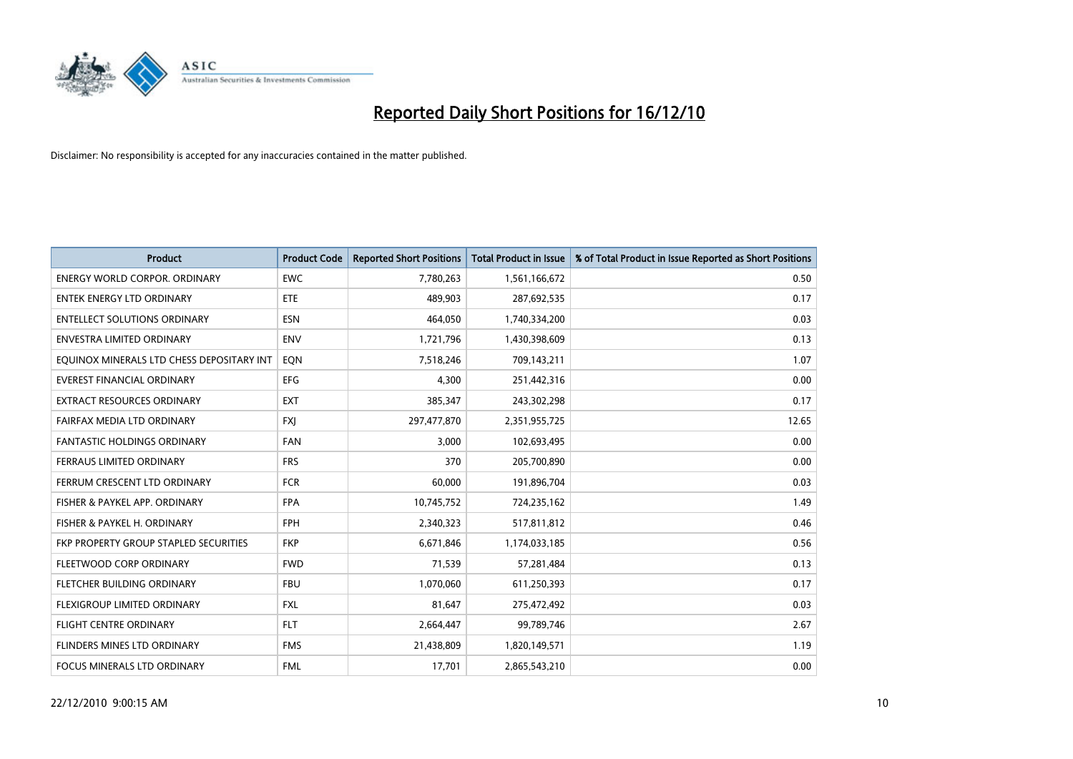

| <b>Product</b>                            | <b>Product Code</b> | <b>Reported Short Positions</b> | <b>Total Product in Issue</b> | % of Total Product in Issue Reported as Short Positions |
|-------------------------------------------|---------------------|---------------------------------|-------------------------------|---------------------------------------------------------|
| <b>ENERGY WORLD CORPOR, ORDINARY</b>      | <b>EWC</b>          | 7,780,263                       | 1,561,166,672                 | 0.50                                                    |
| ENTEK ENERGY LTD ORDINARY                 | ETE                 | 489,903                         | 287,692,535                   | 0.17                                                    |
| <b>ENTELLECT SOLUTIONS ORDINARY</b>       | <b>ESN</b>          | 464,050                         | 1,740,334,200                 | 0.03                                                    |
| <b>ENVESTRA LIMITED ORDINARY</b>          | <b>ENV</b>          | 1,721,796                       | 1,430,398,609                 | 0.13                                                    |
| EQUINOX MINERALS LTD CHESS DEPOSITARY INT | EON                 | 7,518,246                       | 709,143,211                   | 1.07                                                    |
| <b>EVEREST FINANCIAL ORDINARY</b>         | <b>EFG</b>          | 4.300                           | 251,442,316                   | 0.00                                                    |
| EXTRACT RESOURCES ORDINARY                | <b>EXT</b>          | 385,347                         | 243,302,298                   | 0.17                                                    |
| FAIRFAX MEDIA LTD ORDINARY                | <b>FXJ</b>          | 297,477,870                     | 2,351,955,725                 | 12.65                                                   |
| FANTASTIC HOLDINGS ORDINARY               | <b>FAN</b>          | 3,000                           | 102,693,495                   | 0.00                                                    |
| FERRAUS LIMITED ORDINARY                  | <b>FRS</b>          | 370                             | 205,700,890                   | 0.00                                                    |
| FERRUM CRESCENT LTD ORDINARY              | <b>FCR</b>          | 60,000                          | 191,896,704                   | 0.03                                                    |
| FISHER & PAYKEL APP. ORDINARY             | <b>FPA</b>          | 10,745,752                      | 724,235,162                   | 1.49                                                    |
| FISHER & PAYKEL H. ORDINARY               | FPH                 | 2,340,323                       | 517,811,812                   | 0.46                                                    |
| FKP PROPERTY GROUP STAPLED SECURITIES     | <b>FKP</b>          | 6,671,846                       | 1,174,033,185                 | 0.56                                                    |
| <b>FLEETWOOD CORP ORDINARY</b>            | <b>FWD</b>          | 71,539                          | 57,281,484                    | 0.13                                                    |
| FLETCHER BUILDING ORDINARY                | <b>FBU</b>          | 1,070,060                       | 611,250,393                   | 0.17                                                    |
| FLEXIGROUP LIMITED ORDINARY               | <b>FXL</b>          | 81,647                          | 275,472,492                   | 0.03                                                    |
| FLIGHT CENTRE ORDINARY                    | <b>FLT</b>          | 2,664,447                       | 99,789,746                    | 2.67                                                    |
| FLINDERS MINES LTD ORDINARY               | <b>FMS</b>          | 21,438,809                      | 1,820,149,571                 | 1.19                                                    |
| FOCUS MINERALS LTD ORDINARY               | <b>FML</b>          | 17,701                          | 2,865,543,210                 | 0.00                                                    |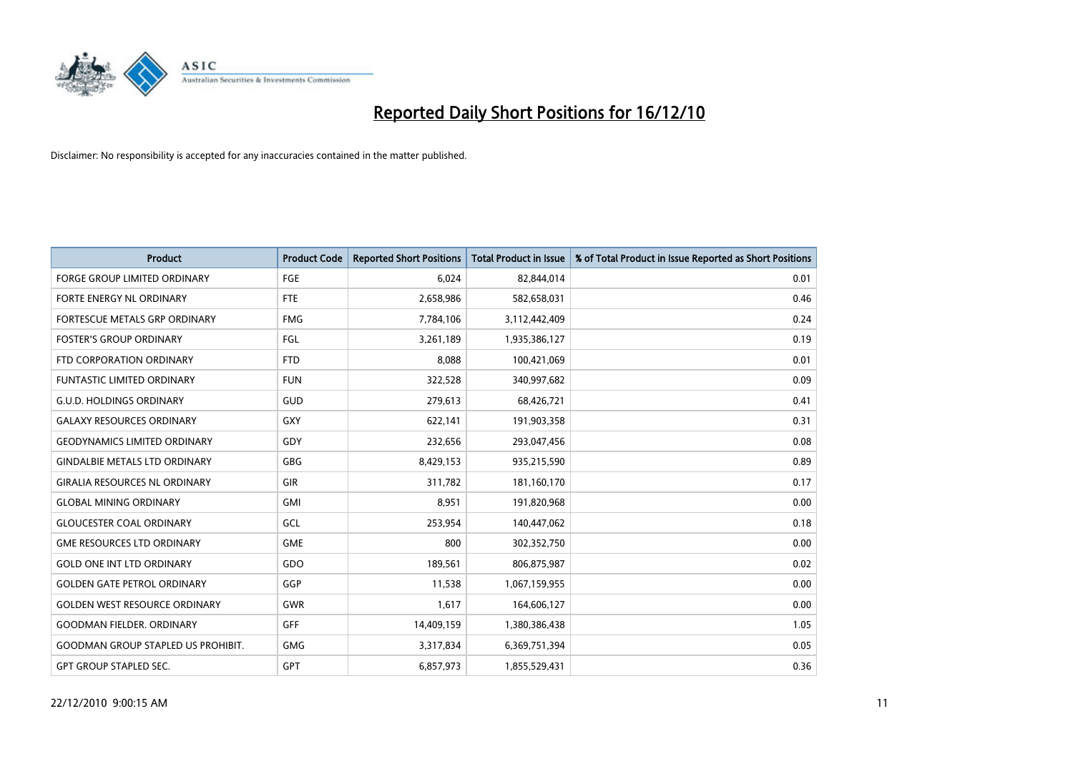

| <b>Product</b>                            | <b>Product Code</b> | <b>Reported Short Positions</b> | <b>Total Product in Issue</b> | % of Total Product in Issue Reported as Short Positions |
|-------------------------------------------|---------------------|---------------------------------|-------------------------------|---------------------------------------------------------|
| <b>FORGE GROUP LIMITED ORDINARY</b>       | <b>FGE</b>          | 6,024                           | 82,844,014                    | 0.01                                                    |
| FORTE ENERGY NL ORDINARY                  | <b>FTE</b>          | 2,658,986                       | 582,658,031                   | 0.46                                                    |
| FORTESCUE METALS GRP ORDINARY             | <b>FMG</b>          | 7,784,106                       | 3,112,442,409                 | 0.24                                                    |
| <b>FOSTER'S GROUP ORDINARY</b>            | FGL                 | 3,261,189                       | 1,935,386,127                 | 0.19                                                    |
| FTD CORPORATION ORDINARY                  | <b>FTD</b>          | 8,088                           | 100,421,069                   | 0.01                                                    |
| <b>FUNTASTIC LIMITED ORDINARY</b>         | <b>FUN</b>          | 322,528                         | 340,997,682                   | 0.09                                                    |
| <b>G.U.D. HOLDINGS ORDINARY</b>           | GUD                 | 279,613                         | 68,426,721                    | 0.41                                                    |
| <b>GALAXY RESOURCES ORDINARY</b>          | <b>GXY</b>          | 622,141                         | 191,903,358                   | 0.31                                                    |
| <b>GEODYNAMICS LIMITED ORDINARY</b>       | GDY                 | 232,656                         | 293,047,456                   | 0.08                                                    |
| <b>GINDALBIE METALS LTD ORDINARY</b>      | <b>GBG</b>          | 8,429,153                       | 935,215,590                   | 0.89                                                    |
| <b>GIRALIA RESOURCES NL ORDINARY</b>      | <b>GIR</b>          | 311,782                         | 181,160,170                   | 0.17                                                    |
| <b>GLOBAL MINING ORDINARY</b>             | <b>GMI</b>          | 8,951                           | 191,820,968                   | 0.00                                                    |
| <b>GLOUCESTER COAL ORDINARY</b>           | GCL                 | 253,954                         | 140,447,062                   | 0.18                                                    |
| <b>GME RESOURCES LTD ORDINARY</b>         | <b>GME</b>          | 800                             | 302,352,750                   | 0.00                                                    |
| <b>GOLD ONE INT LTD ORDINARY</b>          | GDO                 | 189,561                         | 806,875,987                   | 0.02                                                    |
| <b>GOLDEN GATE PETROL ORDINARY</b>        | GGP                 | 11,538                          | 1,067,159,955                 | 0.00                                                    |
| <b>GOLDEN WEST RESOURCE ORDINARY</b>      | GWR                 | 1,617                           | 164,606,127                   | 0.00                                                    |
| <b>GOODMAN FIELDER. ORDINARY</b>          | <b>GFF</b>          | 14,409,159                      | 1,380,386,438                 | 1.05                                                    |
| <b>GOODMAN GROUP STAPLED US PROHIBIT.</b> | <b>GMG</b>          | 3,317,834                       | 6,369,751,394                 | 0.05                                                    |
| <b>GPT GROUP STAPLED SEC.</b>             | GPT                 | 6,857,973                       | 1,855,529,431                 | 0.36                                                    |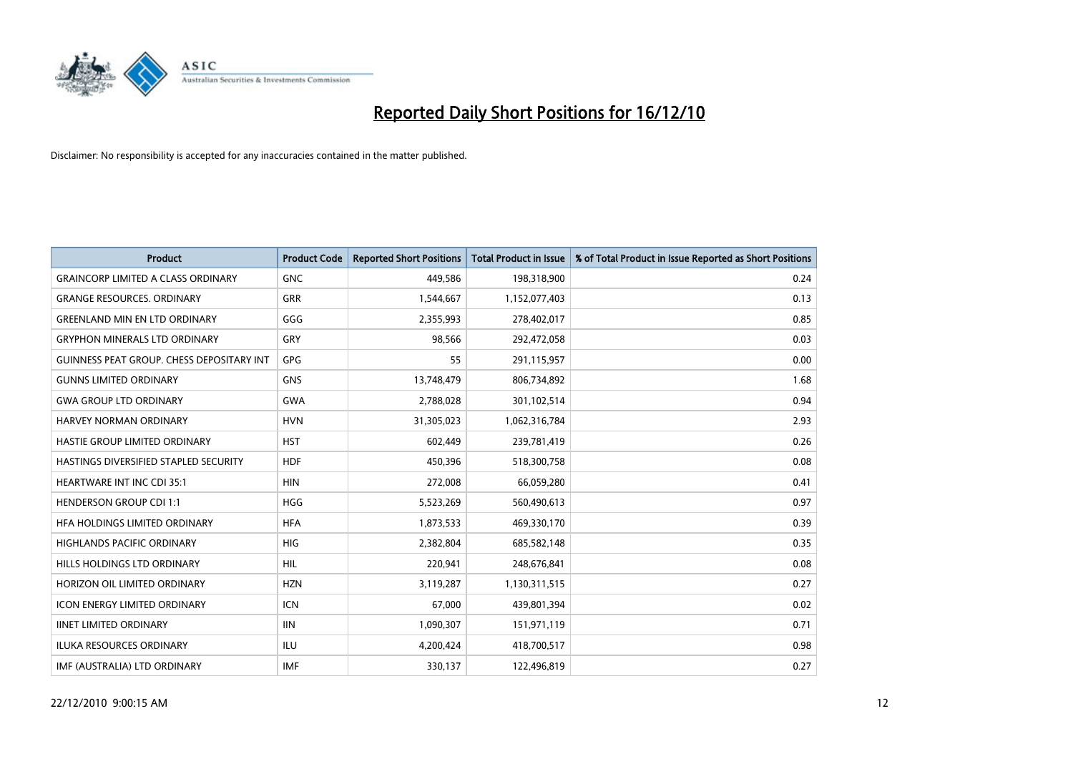

| <b>Product</b>                                   | <b>Product Code</b> | <b>Reported Short Positions</b> | <b>Total Product in Issue</b> | % of Total Product in Issue Reported as Short Positions |
|--------------------------------------------------|---------------------|---------------------------------|-------------------------------|---------------------------------------------------------|
| <b>GRAINCORP LIMITED A CLASS ORDINARY</b>        | <b>GNC</b>          | 449,586                         | 198,318,900                   | 0.24                                                    |
| <b>GRANGE RESOURCES. ORDINARY</b>                | GRR                 | 1,544,667                       | 1,152,077,403                 | 0.13                                                    |
| <b>GREENLAND MIN EN LTD ORDINARY</b>             | GGG                 | 2,355,993                       | 278,402,017                   | 0.85                                                    |
| <b>GRYPHON MINERALS LTD ORDINARY</b>             | GRY                 | 98,566                          | 292,472,058                   | 0.03                                                    |
| <b>GUINNESS PEAT GROUP. CHESS DEPOSITARY INT</b> | GPG                 | 55                              | 291,115,957                   | 0.00                                                    |
| <b>GUNNS LIMITED ORDINARY</b>                    | <b>GNS</b>          | 13,748,479                      | 806,734,892                   | 1.68                                                    |
| <b>GWA GROUP LTD ORDINARY</b>                    | <b>GWA</b>          | 2,788,028                       | 301,102,514                   | 0.94                                                    |
| <b>HARVEY NORMAN ORDINARY</b>                    | <b>HVN</b>          | 31,305,023                      | 1,062,316,784                 | 2.93                                                    |
| HASTIE GROUP LIMITED ORDINARY                    | <b>HST</b>          | 602,449                         | 239,781,419                   | 0.26                                                    |
| HASTINGS DIVERSIFIED STAPLED SECURITY            | <b>HDF</b>          | 450,396                         | 518,300,758                   | 0.08                                                    |
| <b>HEARTWARE INT INC CDI 35:1</b>                | <b>HIN</b>          | 272,008                         | 66,059,280                    | 0.41                                                    |
| <b>HENDERSON GROUP CDI 1:1</b>                   | <b>HGG</b>          | 5,523,269                       | 560,490,613                   | 0.97                                                    |
| HEA HOLDINGS LIMITED ORDINARY                    | <b>HFA</b>          | 1,873,533                       | 469,330,170                   | 0.39                                                    |
| <b>HIGHLANDS PACIFIC ORDINARY</b>                | <b>HIG</b>          | 2,382,804                       | 685,582,148                   | 0.35                                                    |
| HILLS HOLDINGS LTD ORDINARY                      | <b>HIL</b>          | 220,941                         | 248,676,841                   | 0.08                                                    |
| HORIZON OIL LIMITED ORDINARY                     | <b>HZN</b>          | 3,119,287                       | 1,130,311,515                 | 0.27                                                    |
| <b>ICON ENERGY LIMITED ORDINARY</b>              | <b>ICN</b>          | 67,000                          | 439,801,394                   | 0.02                                                    |
| <b>IINET LIMITED ORDINARY</b>                    | <b>IIN</b>          | 1,090,307                       | 151,971,119                   | 0.71                                                    |
| <b>ILUKA RESOURCES ORDINARY</b>                  | <b>ILU</b>          | 4,200,424                       | 418,700,517                   | 0.98                                                    |
| IMF (AUSTRALIA) LTD ORDINARY                     | <b>IMF</b>          | 330,137                         | 122,496,819                   | 0.27                                                    |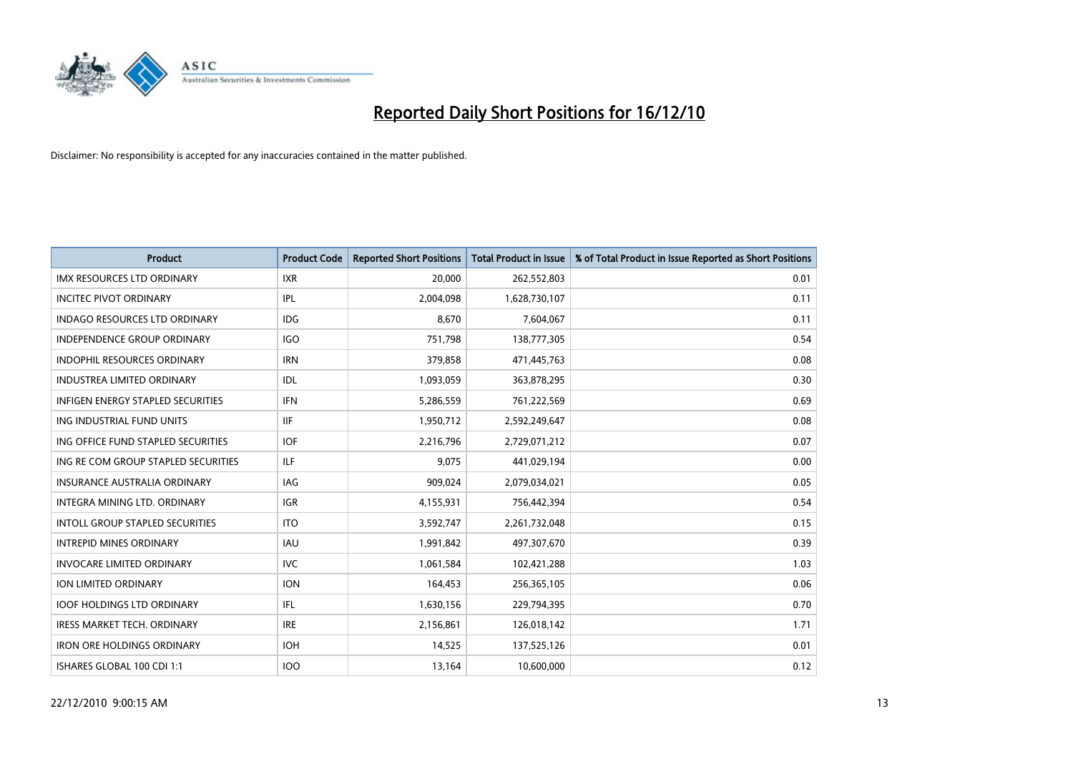

| <b>Product</b>                           | <b>Product Code</b> | <b>Reported Short Positions</b> | Total Product in Issue | % of Total Product in Issue Reported as Short Positions |
|------------------------------------------|---------------------|---------------------------------|------------------------|---------------------------------------------------------|
| <b>IMX RESOURCES LTD ORDINARY</b>        | <b>IXR</b>          | 20,000                          | 262,552,803            | 0.01                                                    |
| <b>INCITEC PIVOT ORDINARY</b>            | <b>IPL</b>          | 2,004,098                       | 1,628,730,107          | 0.11                                                    |
| <b>INDAGO RESOURCES LTD ORDINARY</b>     | <b>IDG</b>          | 8,670                           | 7,604,067              | 0.11                                                    |
| INDEPENDENCE GROUP ORDINARY              | <b>IGO</b>          | 751,798                         | 138,777,305            | 0.54                                                    |
| <b>INDOPHIL RESOURCES ORDINARY</b>       | <b>IRN</b>          | 379,858                         | 471,445,763            | 0.08                                                    |
| <b>INDUSTREA LIMITED ORDINARY</b>        | IDL                 | 1,093,059                       | 363,878,295            | 0.30                                                    |
| <b>INFIGEN ENERGY STAPLED SECURITIES</b> | <b>IFN</b>          | 5,286,559                       | 761,222,569            | 0.69                                                    |
| ING INDUSTRIAL FUND UNITS                | <b>IIF</b>          | 1,950,712                       | 2,592,249,647          | 0.08                                                    |
| ING OFFICE FUND STAPLED SECURITIES       | <b>IOF</b>          | 2,216,796                       | 2,729,071,212          | 0.07                                                    |
| ING RE COM GROUP STAPLED SECURITIES      | <b>ILF</b>          | 9,075                           | 441,029,194            | 0.00                                                    |
| INSURANCE AUSTRALIA ORDINARY             | <b>IAG</b>          | 909,024                         | 2,079,034,021          | 0.05                                                    |
| INTEGRA MINING LTD, ORDINARY             | <b>IGR</b>          | 4,155,931                       | 756,442,394            | 0.54                                                    |
| <b>INTOLL GROUP STAPLED SECURITIES</b>   | <b>ITO</b>          | 3,592,747                       | 2,261,732,048          | 0.15                                                    |
| <b>INTREPID MINES ORDINARY</b>           | <b>IAU</b>          | 1,991,842                       | 497,307,670            | 0.39                                                    |
| <b>INVOCARE LIMITED ORDINARY</b>         | <b>IVC</b>          | 1,061,584                       | 102,421,288            | 1.03                                                    |
| ION LIMITED ORDINARY                     | <b>ION</b>          | 164,453                         | 256,365,105            | 0.06                                                    |
| <b>IOOF HOLDINGS LTD ORDINARY</b>        | <b>IFL</b>          | 1,630,156                       | 229,794,395            | 0.70                                                    |
| IRESS MARKET TECH. ORDINARY              | <b>IRE</b>          | 2,156,861                       | 126,018,142            | 1.71                                                    |
| <b>IRON ORE HOLDINGS ORDINARY</b>        | <b>IOH</b>          | 14,525                          | 137,525,126            | 0.01                                                    |
| ISHARES GLOBAL 100 CDI 1:1               | 100                 | 13,164                          | 10,600,000             | 0.12                                                    |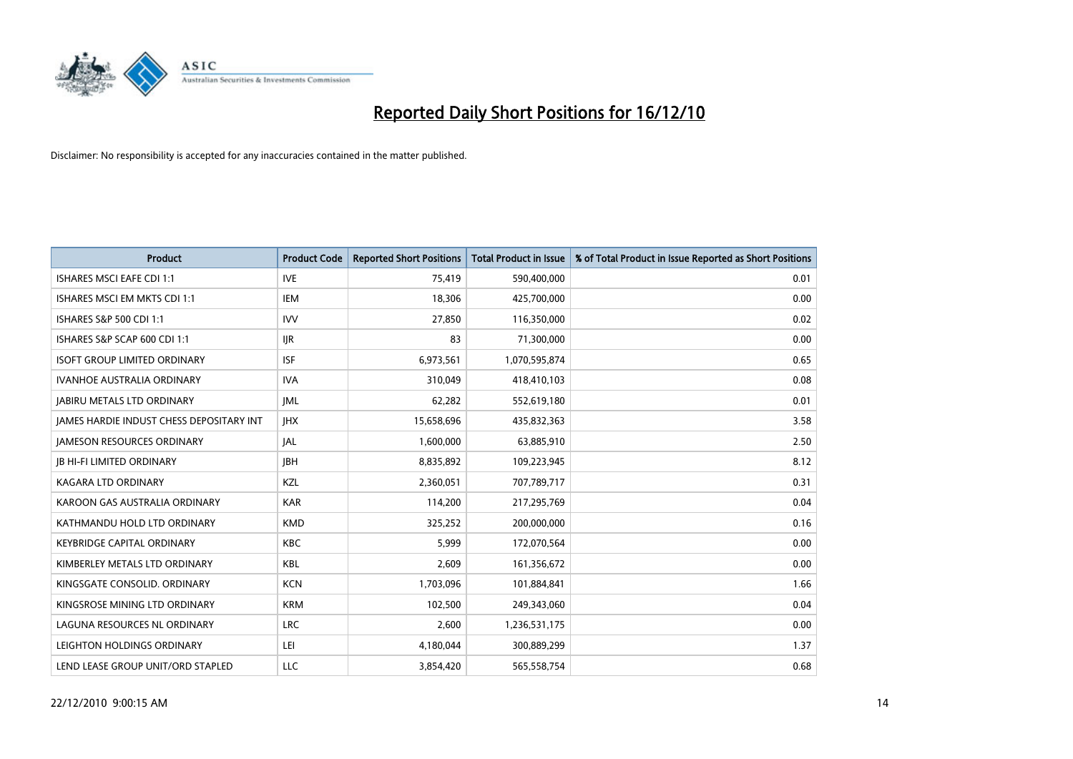

| <b>Product</b>                                  | <b>Product Code</b> | <b>Reported Short Positions</b> | Total Product in Issue | % of Total Product in Issue Reported as Short Positions |
|-------------------------------------------------|---------------------|---------------------------------|------------------------|---------------------------------------------------------|
| <b>ISHARES MSCI EAFE CDI 1:1</b>                | <b>IVE</b>          | 75,419                          | 590,400,000            | 0.01                                                    |
| ISHARES MSCI EM MKTS CDI 1:1                    | <b>IEM</b>          | 18,306                          | 425,700,000            | 0.00                                                    |
| ISHARES S&P 500 CDI 1:1                         | <b>IVV</b>          | 27,850                          | 116,350,000            | 0.02                                                    |
| ISHARES S&P SCAP 600 CDI 1:1                    | <b>IJR</b>          | 83                              | 71,300,000             | 0.00                                                    |
| <b>ISOFT GROUP LIMITED ORDINARY</b>             | <b>ISF</b>          | 6,973,561                       | 1,070,595,874          | 0.65                                                    |
| <b>IVANHOE AUSTRALIA ORDINARY</b>               | <b>IVA</b>          | 310,049                         | 418,410,103            | 0.08                                                    |
| <b>JABIRU METALS LTD ORDINARY</b>               | <b>JML</b>          | 62,282                          | 552,619,180            | 0.01                                                    |
| <b>JAMES HARDIE INDUST CHESS DEPOSITARY INT</b> | <b>IHX</b>          | 15,658,696                      | 435,832,363            | 3.58                                                    |
| <b>JAMESON RESOURCES ORDINARY</b>               | <b>JAL</b>          | 1,600,000                       | 63,885,910             | 2.50                                                    |
| <b>IB HI-FI LIMITED ORDINARY</b>                | <b>IBH</b>          | 8,835,892                       | 109,223,945            | 8.12                                                    |
| KAGARA LTD ORDINARY                             | KZL                 | 2,360,051                       | 707,789,717            | 0.31                                                    |
| KAROON GAS AUSTRALIA ORDINARY                   | <b>KAR</b>          | 114,200                         | 217,295,769            | 0.04                                                    |
| KATHMANDU HOLD LTD ORDINARY                     | <b>KMD</b>          | 325,252                         | 200,000,000            | 0.16                                                    |
| <b>KEYBRIDGE CAPITAL ORDINARY</b>               | <b>KBC</b>          | 5.999                           | 172,070,564            | 0.00                                                    |
| KIMBERLEY METALS LTD ORDINARY                   | <b>KBL</b>          | 2,609                           | 161,356,672            | 0.00                                                    |
| KINGSGATE CONSOLID, ORDINARY                    | <b>KCN</b>          | 1,703,096                       | 101,884,841            | 1.66                                                    |
| KINGSROSE MINING LTD ORDINARY                   | <b>KRM</b>          | 102,500                         | 249,343,060            | 0.04                                                    |
| LAGUNA RESOURCES NL ORDINARY                    | <b>LRC</b>          | 2,600                           | 1,236,531,175          | 0.00                                                    |
| LEIGHTON HOLDINGS ORDINARY                      | LEI                 | 4,180,044                       | 300,889,299            | 1.37                                                    |
| LEND LEASE GROUP UNIT/ORD STAPLED               | LLC                 | 3,854,420                       | 565,558,754            | 0.68                                                    |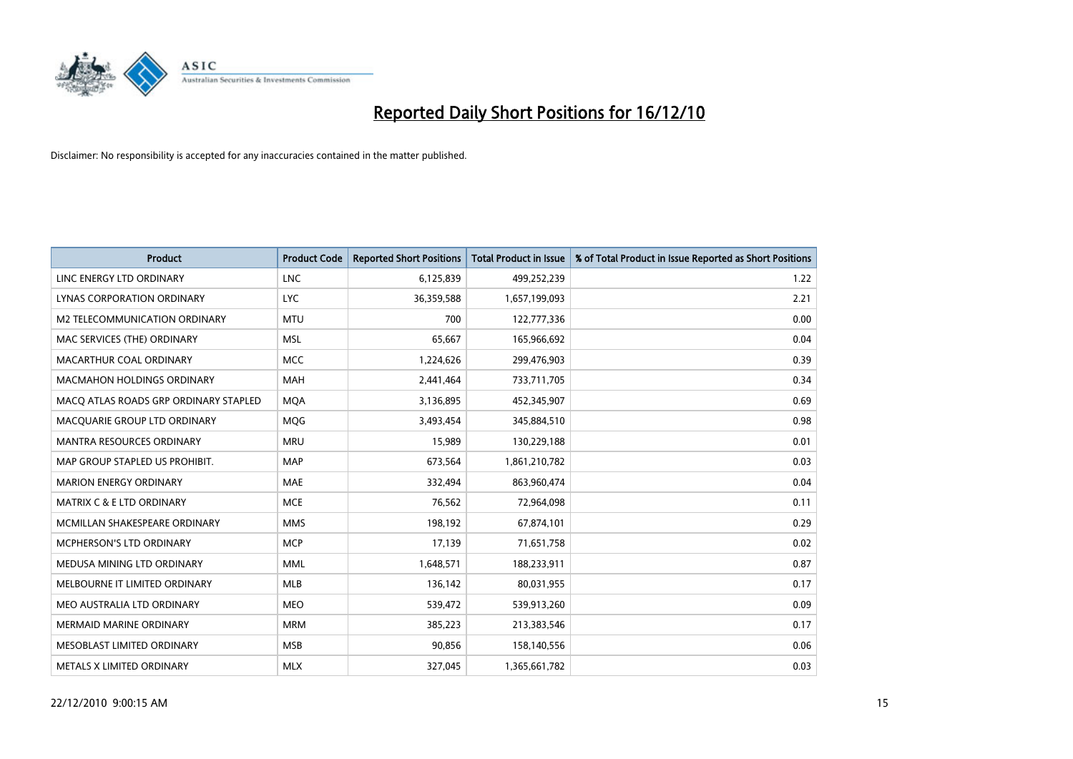

| <b>Product</b>                        | <b>Product Code</b> | <b>Reported Short Positions</b> | <b>Total Product in Issue</b> | % of Total Product in Issue Reported as Short Positions |
|---------------------------------------|---------------------|---------------------------------|-------------------------------|---------------------------------------------------------|
| LINC ENERGY LTD ORDINARY              | <b>LNC</b>          | 6,125,839                       | 499,252,239                   | 1.22                                                    |
| LYNAS CORPORATION ORDINARY            | <b>LYC</b>          | 36,359,588                      | 1,657,199,093                 | 2.21                                                    |
| M2 TELECOMMUNICATION ORDINARY         | <b>MTU</b>          | 700                             | 122,777,336                   | 0.00                                                    |
| MAC SERVICES (THE) ORDINARY           | <b>MSL</b>          | 65,667                          | 165,966,692                   | 0.04                                                    |
| MACARTHUR COAL ORDINARY               | <b>MCC</b>          | 1,224,626                       | 299,476,903                   | 0.39                                                    |
| <b>MACMAHON HOLDINGS ORDINARY</b>     | <b>MAH</b>          | 2,441,464                       | 733,711,705                   | 0.34                                                    |
| MACO ATLAS ROADS GRP ORDINARY STAPLED | <b>MOA</b>          | 3,136,895                       | 452,345,907                   | 0.69                                                    |
| MACQUARIE GROUP LTD ORDINARY          | MQG                 | 3,493,454                       | 345,884,510                   | 0.98                                                    |
| <b>MANTRA RESOURCES ORDINARY</b>      | <b>MRU</b>          | 15,989                          | 130,229,188                   | 0.01                                                    |
| MAP GROUP STAPLED US PROHIBIT.        | <b>MAP</b>          | 673,564                         | 1,861,210,782                 | 0.03                                                    |
| <b>MARION ENERGY ORDINARY</b>         | <b>MAE</b>          | 332,494                         | 863,960,474                   | 0.04                                                    |
| <b>MATRIX C &amp; E LTD ORDINARY</b>  | <b>MCE</b>          | 76,562                          | 72,964,098                    | 0.11                                                    |
| MCMILLAN SHAKESPEARE ORDINARY         | <b>MMS</b>          | 198,192                         | 67,874,101                    | 0.29                                                    |
| MCPHERSON'S LTD ORDINARY              | <b>MCP</b>          | 17,139                          | 71,651,758                    | 0.02                                                    |
| MEDUSA MINING LTD ORDINARY            | <b>MML</b>          | 1,648,571                       | 188,233,911                   | 0.87                                                    |
| MELBOURNE IT LIMITED ORDINARY         | <b>MLB</b>          | 136,142                         | 80,031,955                    | 0.17                                                    |
| MEO AUSTRALIA LTD ORDINARY            | <b>MEO</b>          | 539,472                         | 539,913,260                   | 0.09                                                    |
| MERMAID MARINE ORDINARY               | <b>MRM</b>          | 385,223                         | 213,383,546                   | 0.17                                                    |
| MESOBLAST LIMITED ORDINARY            | <b>MSB</b>          | 90,856                          | 158,140,556                   | 0.06                                                    |
| METALS X LIMITED ORDINARY             | <b>MLX</b>          | 327,045                         | 1,365,661,782                 | 0.03                                                    |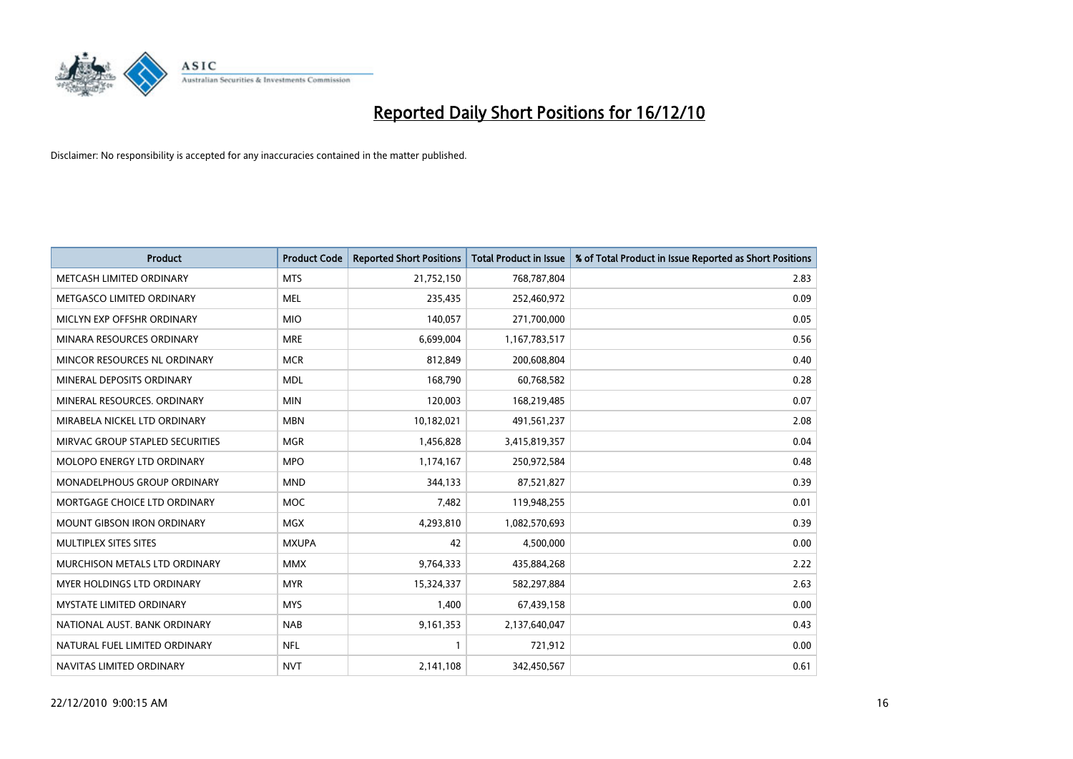

| <b>Product</b>                  | <b>Product Code</b> | <b>Reported Short Positions</b> | Total Product in Issue | % of Total Product in Issue Reported as Short Positions |
|---------------------------------|---------------------|---------------------------------|------------------------|---------------------------------------------------------|
| METCASH LIMITED ORDINARY        | <b>MTS</b>          | 21,752,150                      | 768,787,804            | 2.83                                                    |
| METGASCO LIMITED ORDINARY       | <b>MEL</b>          | 235,435                         | 252,460,972            | 0.09                                                    |
| MICLYN EXP OFFSHR ORDINARY      | <b>MIO</b>          | 140,057                         | 271,700,000            | 0.05                                                    |
| MINARA RESOURCES ORDINARY       | <b>MRE</b>          | 6,699,004                       | 1,167,783,517          | 0.56                                                    |
| MINCOR RESOURCES NL ORDINARY    | <b>MCR</b>          | 812,849                         | 200,608,804            | 0.40                                                    |
| MINERAL DEPOSITS ORDINARY       | <b>MDL</b>          | 168,790                         | 60,768,582             | 0.28                                                    |
| MINERAL RESOURCES. ORDINARY     | <b>MIN</b>          | 120,003                         | 168,219,485            | 0.07                                                    |
| MIRABELA NICKEL LTD ORDINARY    | <b>MBN</b>          | 10,182,021                      | 491,561,237            | 2.08                                                    |
| MIRVAC GROUP STAPLED SECURITIES | <b>MGR</b>          | 1,456,828                       | 3,415,819,357          | 0.04                                                    |
| MOLOPO ENERGY LTD ORDINARY      | <b>MPO</b>          | 1,174,167                       | 250,972,584            | 0.48                                                    |
| MONADELPHOUS GROUP ORDINARY     | <b>MND</b>          | 344,133                         | 87,521,827             | 0.39                                                    |
| MORTGAGE CHOICE LTD ORDINARY    | <b>MOC</b>          | 7,482                           | 119,948,255            | 0.01                                                    |
| MOUNT GIBSON IRON ORDINARY      | MGX                 | 4,293,810                       | 1,082,570,693          | 0.39                                                    |
| MULTIPLEX SITES SITES           | <b>MXUPA</b>        | 42                              | 4,500,000              | 0.00                                                    |
| MURCHISON METALS LTD ORDINARY   | <b>MMX</b>          | 9,764,333                       | 435,884,268            | 2.22                                                    |
| MYER HOLDINGS LTD ORDINARY      | <b>MYR</b>          | 15,324,337                      | 582,297,884            | 2.63                                                    |
| MYSTATE LIMITED ORDINARY        | <b>MYS</b>          | 1,400                           | 67,439,158             | 0.00                                                    |
| NATIONAL AUST. BANK ORDINARY    | <b>NAB</b>          | 9,161,353                       | 2,137,640,047          | 0.43                                                    |
| NATURAL FUEL LIMITED ORDINARY   | <b>NFL</b>          |                                 | 721,912                | 0.00                                                    |
| NAVITAS LIMITED ORDINARY        | <b>NVT</b>          | 2,141,108                       | 342,450,567            | 0.61                                                    |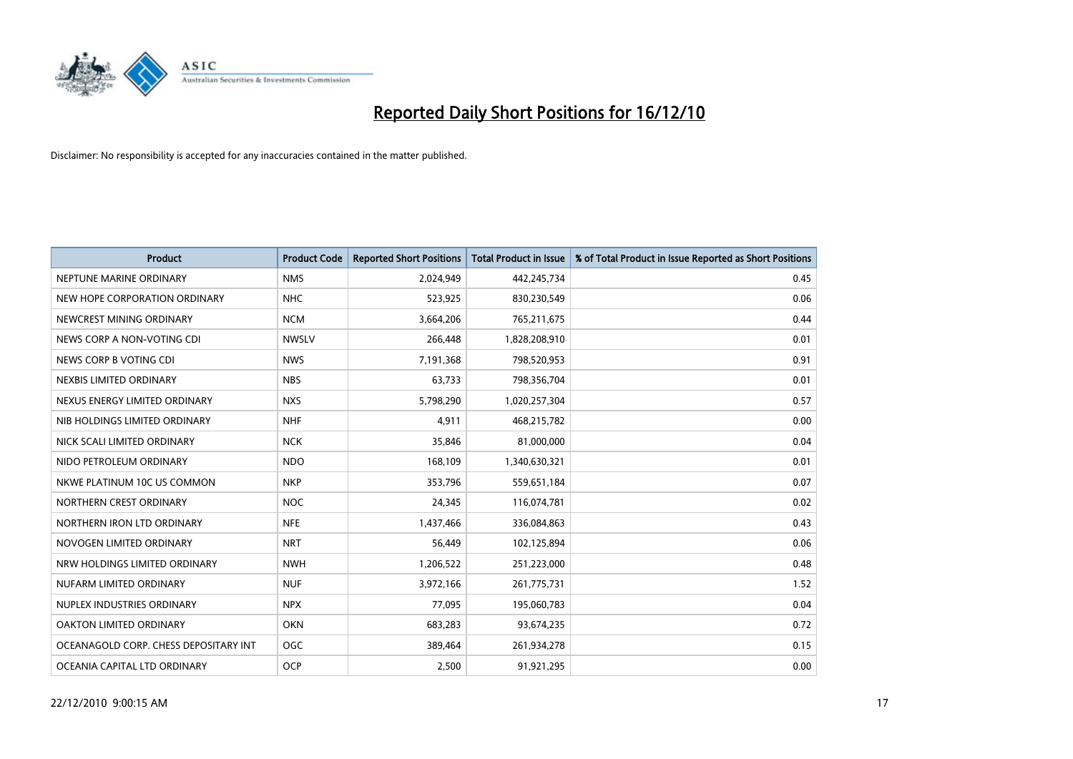

| <b>Product</b>                        | <b>Product Code</b> | <b>Reported Short Positions</b> | <b>Total Product in Issue</b> | % of Total Product in Issue Reported as Short Positions |
|---------------------------------------|---------------------|---------------------------------|-------------------------------|---------------------------------------------------------|
| NEPTUNE MARINE ORDINARY               | <b>NMS</b>          | 2,024,949                       | 442,245,734                   | 0.45                                                    |
| NEW HOPE CORPORATION ORDINARY         | <b>NHC</b>          | 523,925                         | 830,230,549                   | 0.06                                                    |
| NEWCREST MINING ORDINARY              | <b>NCM</b>          | 3,664,206                       | 765,211,675                   | 0.44                                                    |
| NEWS CORP A NON-VOTING CDI            | <b>NWSLV</b>        | 266,448                         | 1,828,208,910                 | 0.01                                                    |
| NEWS CORP B VOTING CDI                | <b>NWS</b>          | 7,191,368                       | 798,520,953                   | 0.91                                                    |
| NEXBIS LIMITED ORDINARY               | <b>NBS</b>          | 63,733                          | 798,356,704                   | 0.01                                                    |
| NEXUS ENERGY LIMITED ORDINARY         | <b>NXS</b>          | 5,798,290                       | 1,020,257,304                 | 0.57                                                    |
| NIB HOLDINGS LIMITED ORDINARY         | <b>NHF</b>          | 4,911                           | 468,215,782                   | 0.00                                                    |
| NICK SCALI LIMITED ORDINARY           | <b>NCK</b>          | 35,846                          | 81,000,000                    | 0.04                                                    |
| NIDO PETROLEUM ORDINARY               | <b>NDO</b>          | 168,109                         | 1,340,630,321                 | 0.01                                                    |
| NKWE PLATINUM 10C US COMMON           | <b>NKP</b>          | 353,796                         | 559,651,184                   | 0.07                                                    |
| NORTHERN CREST ORDINARY               | <b>NOC</b>          | 24,345                          | 116,074,781                   | 0.02                                                    |
| NORTHERN IRON LTD ORDINARY            | <b>NFE</b>          | 1,437,466                       | 336,084,863                   | 0.43                                                    |
| NOVOGEN LIMITED ORDINARY              | <b>NRT</b>          | 56,449                          | 102,125,894                   | 0.06                                                    |
| NRW HOLDINGS LIMITED ORDINARY         | <b>NWH</b>          | 1,206,522                       | 251,223,000                   | 0.48                                                    |
| NUFARM LIMITED ORDINARY               | <b>NUF</b>          | 3,972,166                       | 261,775,731                   | 1.52                                                    |
| NUPLEX INDUSTRIES ORDINARY            | <b>NPX</b>          | 77,095                          | 195,060,783                   | 0.04                                                    |
| OAKTON LIMITED ORDINARY               | <b>OKN</b>          | 683,283                         | 93,674,235                    | 0.72                                                    |
| OCEANAGOLD CORP. CHESS DEPOSITARY INT | <b>OGC</b>          | 389,464                         | 261,934,278                   | 0.15                                                    |
| OCEANIA CAPITAL LTD ORDINARY          | <b>OCP</b>          | 2,500                           | 91,921,295                    | 0.00                                                    |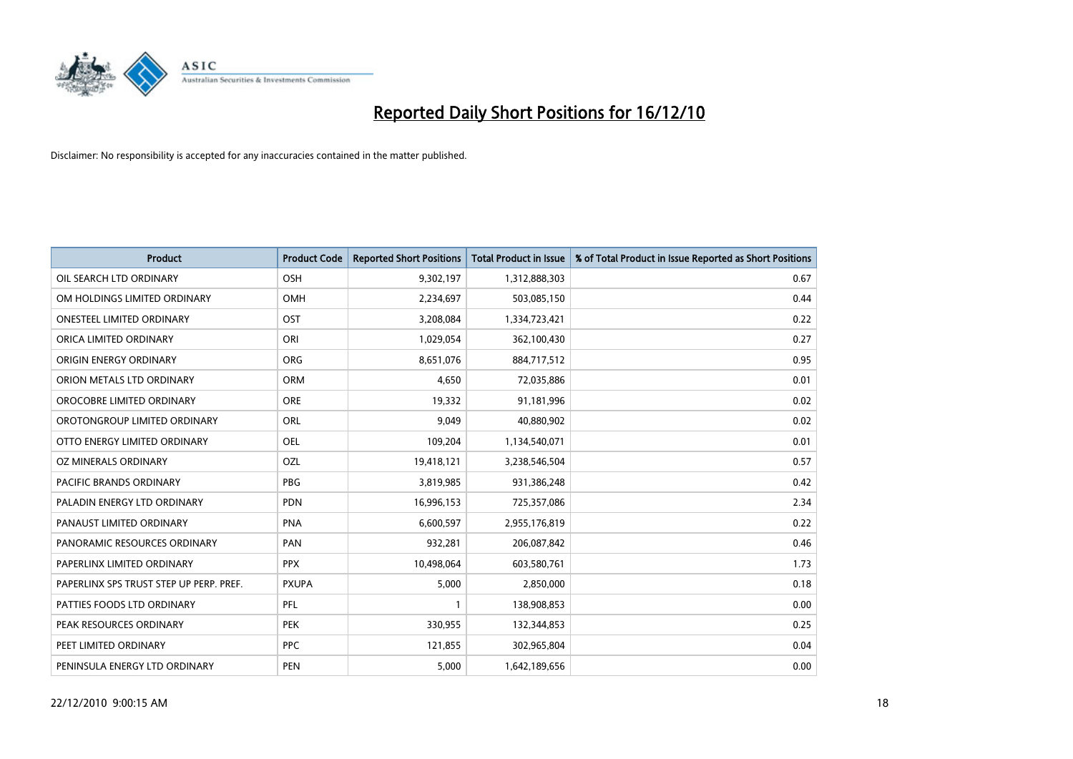

| <b>Product</b>                          | <b>Product Code</b> | <b>Reported Short Positions</b> | <b>Total Product in Issue</b> | % of Total Product in Issue Reported as Short Positions |
|-----------------------------------------|---------------------|---------------------------------|-------------------------------|---------------------------------------------------------|
| OIL SEARCH LTD ORDINARY                 | OSH                 | 9,302,197                       | 1,312,888,303                 | 0.67                                                    |
| OM HOLDINGS LIMITED ORDINARY            | <b>OMH</b>          | 2,234,697                       | 503,085,150                   | 0.44                                                    |
| <b>ONESTEEL LIMITED ORDINARY</b>        | OST                 | 3,208,084                       | 1,334,723,421                 | 0.22                                                    |
| ORICA LIMITED ORDINARY                  | ORI                 | 1,029,054                       | 362,100,430                   | 0.27                                                    |
| ORIGIN ENERGY ORDINARY                  | <b>ORG</b>          | 8,651,076                       | 884,717,512                   | 0.95                                                    |
| ORION METALS LTD ORDINARY               | <b>ORM</b>          | 4,650                           | 72,035,886                    | 0.01                                                    |
| OROCOBRE LIMITED ORDINARY               | <b>ORE</b>          | 19,332                          | 91,181,996                    | 0.02                                                    |
| OROTONGROUP LIMITED ORDINARY            | ORL                 | 9,049                           | 40,880,902                    | 0.02                                                    |
| OTTO ENERGY LIMITED ORDINARY            | <b>OEL</b>          | 109,204                         | 1,134,540,071                 | 0.01                                                    |
| OZ MINERALS ORDINARY                    | OZL                 | 19,418,121                      | 3,238,546,504                 | 0.57                                                    |
| <b>PACIFIC BRANDS ORDINARY</b>          | <b>PBG</b>          | 3,819,985                       | 931,386,248                   | 0.42                                                    |
| PALADIN ENERGY LTD ORDINARY             | PDN                 | 16,996,153                      | 725,357,086                   | 2.34                                                    |
| PANAUST LIMITED ORDINARY                | <b>PNA</b>          | 6,600,597                       | 2,955,176,819                 | 0.22                                                    |
| PANORAMIC RESOURCES ORDINARY            | PAN                 | 932,281                         | 206,087,842                   | 0.46                                                    |
| PAPERLINX LIMITED ORDINARY              | <b>PPX</b>          | 10,498,064                      | 603,580,761                   | 1.73                                                    |
| PAPERLINX SPS TRUST STEP UP PERP. PREF. | <b>PXUPA</b>        | 5,000                           | 2,850,000                     | 0.18                                                    |
| PATTIES FOODS LTD ORDINARY              | PFL                 |                                 | 138,908,853                   | 0.00                                                    |
| PEAK RESOURCES ORDINARY                 | <b>PEK</b>          | 330,955                         | 132,344,853                   | 0.25                                                    |
| PEET LIMITED ORDINARY                   | <b>PPC</b>          | 121,855                         | 302,965,804                   | 0.04                                                    |
| PENINSULA ENERGY LTD ORDINARY           | <b>PEN</b>          | 5,000                           | 1,642,189,656                 | 0.00                                                    |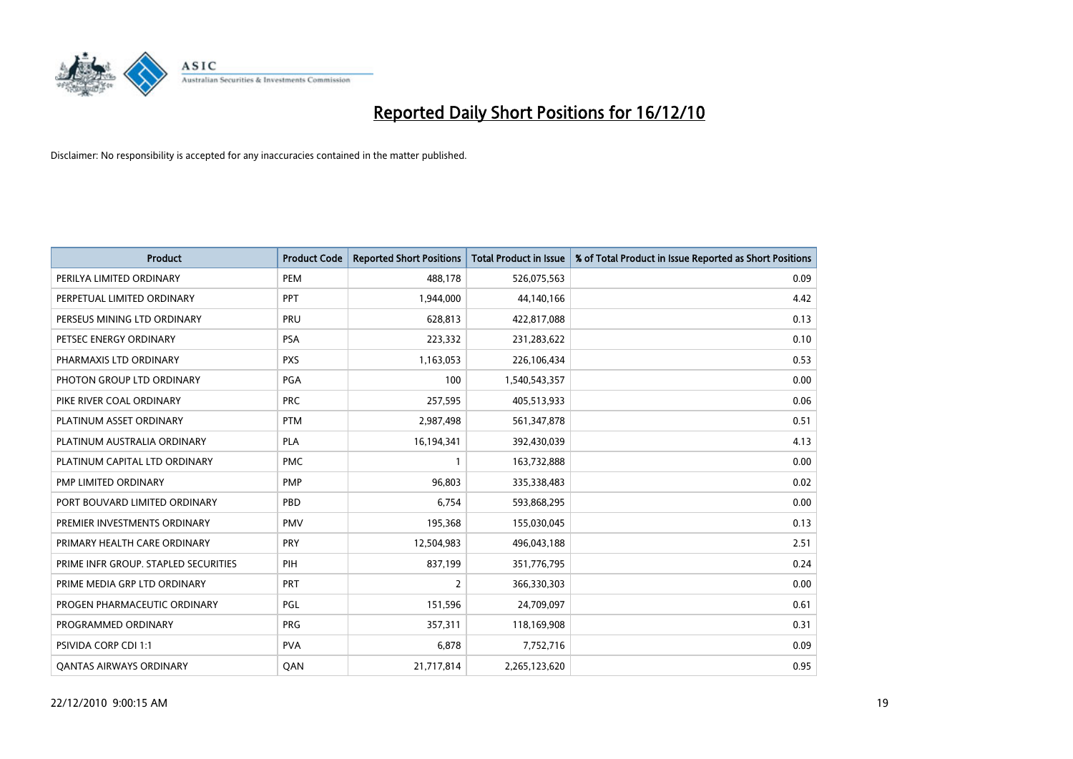

| <b>Product</b>                       | <b>Product Code</b> | <b>Reported Short Positions</b> | <b>Total Product in Issue</b> | % of Total Product in Issue Reported as Short Positions |
|--------------------------------------|---------------------|---------------------------------|-------------------------------|---------------------------------------------------------|
| PERILYA LIMITED ORDINARY             | PEM                 | 488,178                         | 526,075,563                   | 0.09                                                    |
| PERPETUAL LIMITED ORDINARY           | PPT                 | 1,944,000                       | 44,140,166                    | 4.42                                                    |
| PERSEUS MINING LTD ORDINARY          | PRU                 | 628.813                         | 422,817,088                   | 0.13                                                    |
| PETSEC ENERGY ORDINARY               | <b>PSA</b>          | 223,332                         | 231,283,622                   | 0.10                                                    |
| PHARMAXIS LTD ORDINARY               | <b>PXS</b>          | 1,163,053                       | 226,106,434                   | 0.53                                                    |
| PHOTON GROUP LTD ORDINARY            | <b>PGA</b>          | 100                             | 1,540,543,357                 | 0.00                                                    |
| PIKE RIVER COAL ORDINARY             | <b>PRC</b>          | 257,595                         | 405,513,933                   | 0.06                                                    |
| PLATINUM ASSET ORDINARY              | <b>PTM</b>          | 2,987,498                       | 561,347,878                   | 0.51                                                    |
| PLATINUM AUSTRALIA ORDINARY          | <b>PLA</b>          | 16,194,341                      | 392,430,039                   | 4.13                                                    |
| PLATINUM CAPITAL LTD ORDINARY        | <b>PMC</b>          |                                 | 163,732,888                   | 0.00                                                    |
| PMP LIMITED ORDINARY                 | <b>PMP</b>          | 96,803                          | 335,338,483                   | 0.02                                                    |
| PORT BOUVARD LIMITED ORDINARY        | PBD                 | 6,754                           | 593,868,295                   | 0.00                                                    |
| PREMIER INVESTMENTS ORDINARY         | <b>PMV</b>          | 195,368                         | 155,030,045                   | 0.13                                                    |
| PRIMARY HEALTH CARE ORDINARY         | <b>PRY</b>          | 12,504,983                      | 496,043,188                   | 2.51                                                    |
| PRIME INFR GROUP. STAPLED SECURITIES | PIH                 | 837,199                         | 351,776,795                   | 0.24                                                    |
| PRIME MEDIA GRP LTD ORDINARY         | PRT                 | 2                               | 366,330,303                   | 0.00                                                    |
| PROGEN PHARMACEUTIC ORDINARY         | <b>PGL</b>          | 151,596                         | 24,709,097                    | 0.61                                                    |
| PROGRAMMED ORDINARY                  | <b>PRG</b>          | 357,311                         | 118,169,908                   | 0.31                                                    |
| PSIVIDA CORP CDI 1:1                 | <b>PVA</b>          | 6,878                           | 7,752,716                     | 0.09                                                    |
| <b>QANTAS AIRWAYS ORDINARY</b>       | QAN                 | 21,717,814                      | 2,265,123,620                 | 0.95                                                    |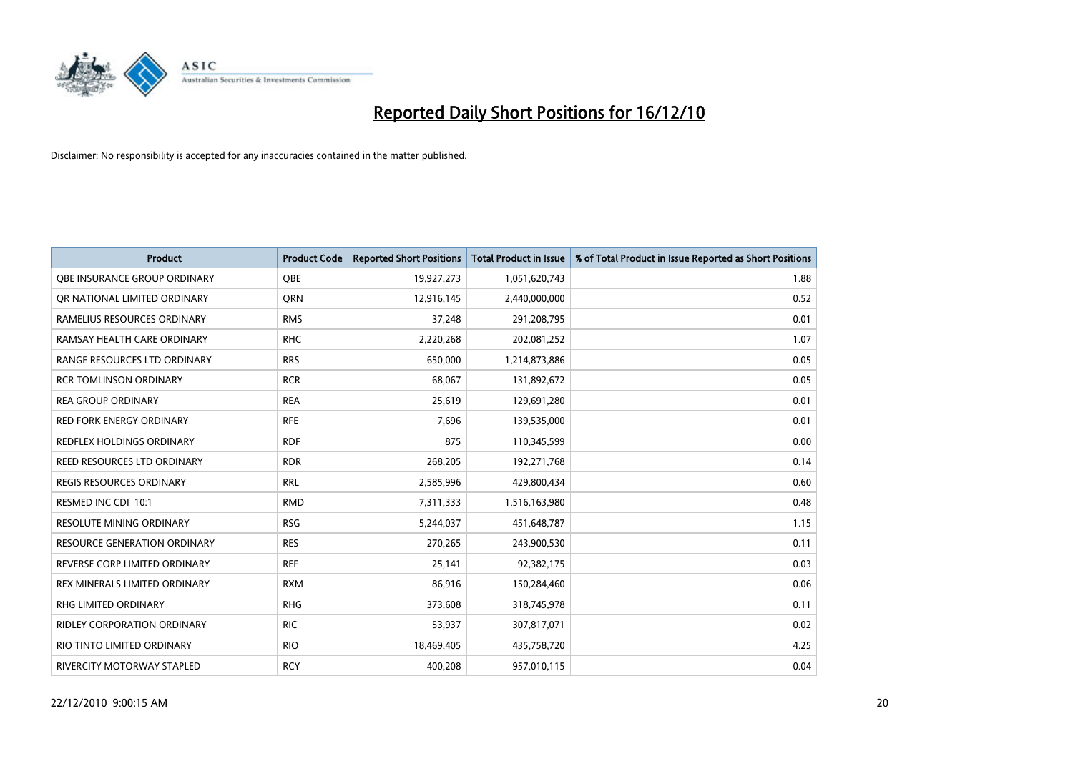

| <b>Product</b>                      | <b>Product Code</b> | <b>Reported Short Positions</b> | <b>Total Product in Issue</b> | % of Total Product in Issue Reported as Short Positions |
|-------------------------------------|---------------------|---------------------------------|-------------------------------|---------------------------------------------------------|
| OBE INSURANCE GROUP ORDINARY        | OBE                 | 19,927,273                      | 1,051,620,743                 | 1.88                                                    |
| OR NATIONAL LIMITED ORDINARY        | <b>ORN</b>          | 12,916,145                      | 2,440,000,000                 | 0.52                                                    |
| RAMELIUS RESOURCES ORDINARY         | <b>RMS</b>          | 37,248                          | 291,208,795                   | 0.01                                                    |
| RAMSAY HEALTH CARE ORDINARY         | <b>RHC</b>          | 2,220,268                       | 202,081,252                   | 1.07                                                    |
| RANGE RESOURCES LTD ORDINARY        | <b>RRS</b>          | 650.000                         | 1,214,873,886                 | 0.05                                                    |
| <b>RCR TOMLINSON ORDINARY</b>       | <b>RCR</b>          | 68,067                          | 131,892,672                   | 0.05                                                    |
| <b>REA GROUP ORDINARY</b>           | <b>REA</b>          | 25,619                          | 129,691,280                   | 0.01                                                    |
| <b>RED FORK ENERGY ORDINARY</b>     | <b>RFE</b>          | 7,696                           | 139,535,000                   | 0.01                                                    |
| REDFLEX HOLDINGS ORDINARY           | <b>RDF</b>          | 875                             | 110,345,599                   | 0.00                                                    |
| REED RESOURCES LTD ORDINARY         | <b>RDR</b>          | 268,205                         | 192,271,768                   | 0.14                                                    |
| <b>REGIS RESOURCES ORDINARY</b>     | <b>RRL</b>          | 2,585,996                       | 429,800,434                   | 0.60                                                    |
| RESMED INC CDI 10:1                 | <b>RMD</b>          | 7,311,333                       | 1,516,163,980                 | 0.48                                                    |
| <b>RESOLUTE MINING ORDINARY</b>     | <b>RSG</b>          | 5,244,037                       | 451,648,787                   | 1.15                                                    |
| <b>RESOURCE GENERATION ORDINARY</b> | <b>RES</b>          | 270,265                         | 243,900,530                   | 0.11                                                    |
| REVERSE CORP LIMITED ORDINARY       | <b>REF</b>          | 25,141                          | 92,382,175                    | 0.03                                                    |
| REX MINERALS LIMITED ORDINARY       | <b>RXM</b>          | 86,916                          | 150,284,460                   | 0.06                                                    |
| <b>RHG LIMITED ORDINARY</b>         | <b>RHG</b>          | 373,608                         | 318,745,978                   | 0.11                                                    |
| RIDLEY CORPORATION ORDINARY         | <b>RIC</b>          | 53,937                          | 307,817,071                   | 0.02                                                    |
| RIO TINTO LIMITED ORDINARY          | <b>RIO</b>          | 18,469,405                      | 435,758,720                   | 4.25                                                    |
| RIVERCITY MOTORWAY STAPLED          | <b>RCY</b>          | 400.208                         | 957,010,115                   | 0.04                                                    |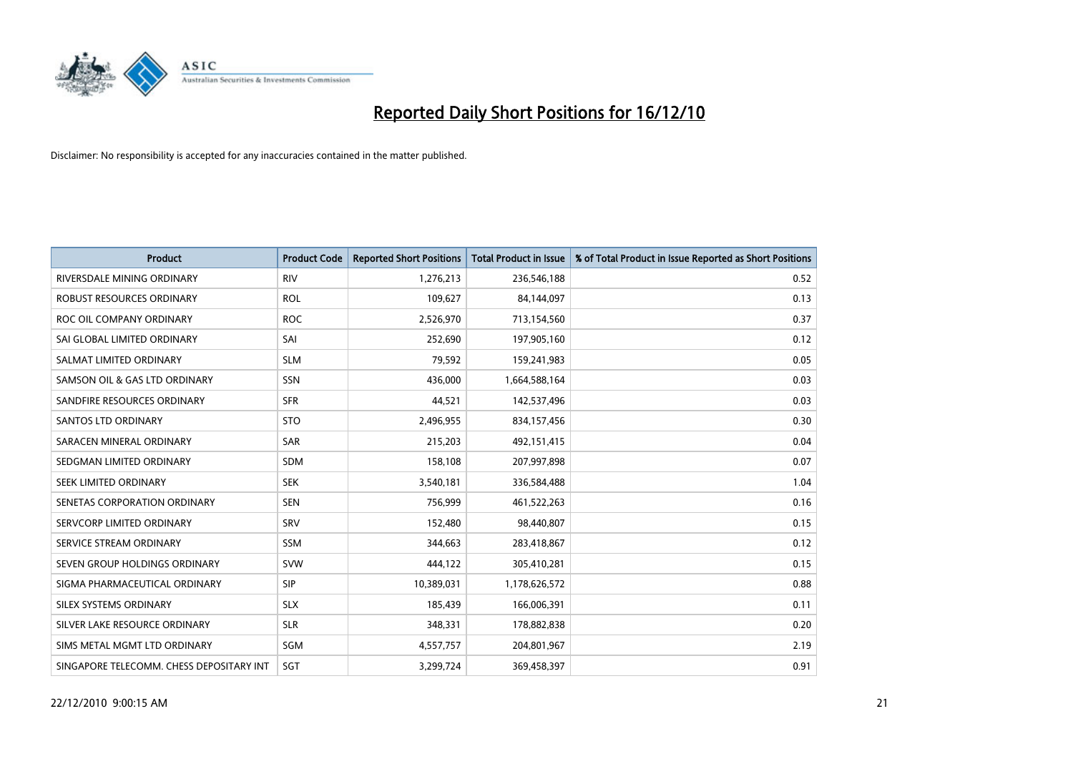

| <b>Product</b>                           | <b>Product Code</b> | <b>Reported Short Positions</b> | <b>Total Product in Issue</b> | % of Total Product in Issue Reported as Short Positions |
|------------------------------------------|---------------------|---------------------------------|-------------------------------|---------------------------------------------------------|
| RIVERSDALE MINING ORDINARY               | <b>RIV</b>          | 1,276,213                       | 236,546,188                   | 0.52                                                    |
| ROBUST RESOURCES ORDINARY                | <b>ROL</b>          | 109,627                         | 84,144,097                    | 0.13                                                    |
| ROC OIL COMPANY ORDINARY                 | <b>ROC</b>          | 2,526,970                       | 713,154,560                   | 0.37                                                    |
| SAI GLOBAL LIMITED ORDINARY              | SAI                 | 252,690                         | 197,905,160                   | 0.12                                                    |
| SALMAT LIMITED ORDINARY                  | <b>SLM</b>          | 79,592                          | 159,241,983                   | 0.05                                                    |
| SAMSON OIL & GAS LTD ORDINARY            | SSN                 | 436,000                         | 1,664,588,164                 | 0.03                                                    |
| SANDFIRE RESOURCES ORDINARY              | <b>SFR</b>          | 44,521                          | 142,537,496                   | 0.03                                                    |
| <b>SANTOS LTD ORDINARY</b>               | <b>STO</b>          | 2,496,955                       | 834,157,456                   | 0.30                                                    |
| SARACEN MINERAL ORDINARY                 | <b>SAR</b>          | 215,203                         | 492,151,415                   | 0.04                                                    |
| SEDGMAN LIMITED ORDINARY                 | <b>SDM</b>          | 158,108                         | 207,997,898                   | 0.07                                                    |
| SEEK LIMITED ORDINARY                    | <b>SEK</b>          | 3,540,181                       | 336,584,488                   | 1.04                                                    |
| SENETAS CORPORATION ORDINARY             | <b>SEN</b>          | 756,999                         | 461,522,263                   | 0.16                                                    |
| SERVCORP LIMITED ORDINARY                | SRV                 | 152,480                         | 98,440,807                    | 0.15                                                    |
| SERVICE STREAM ORDINARY                  | <b>SSM</b>          | 344,663                         | 283,418,867                   | 0.12                                                    |
| SEVEN GROUP HOLDINGS ORDINARY            | <b>SVW</b>          | 444,122                         | 305,410,281                   | 0.15                                                    |
| SIGMA PHARMACEUTICAL ORDINARY            | <b>SIP</b>          | 10,389,031                      | 1,178,626,572                 | 0.88                                                    |
| SILEX SYSTEMS ORDINARY                   | <b>SLX</b>          | 185,439                         | 166,006,391                   | 0.11                                                    |
| SILVER LAKE RESOURCE ORDINARY            | <b>SLR</b>          | 348,331                         | 178,882,838                   | 0.20                                                    |
| SIMS METAL MGMT LTD ORDINARY             | SGM                 | 4,557,757                       | 204,801,967                   | 2.19                                                    |
| SINGAPORE TELECOMM. CHESS DEPOSITARY INT | SGT                 | 3,299,724                       | 369,458,397                   | 0.91                                                    |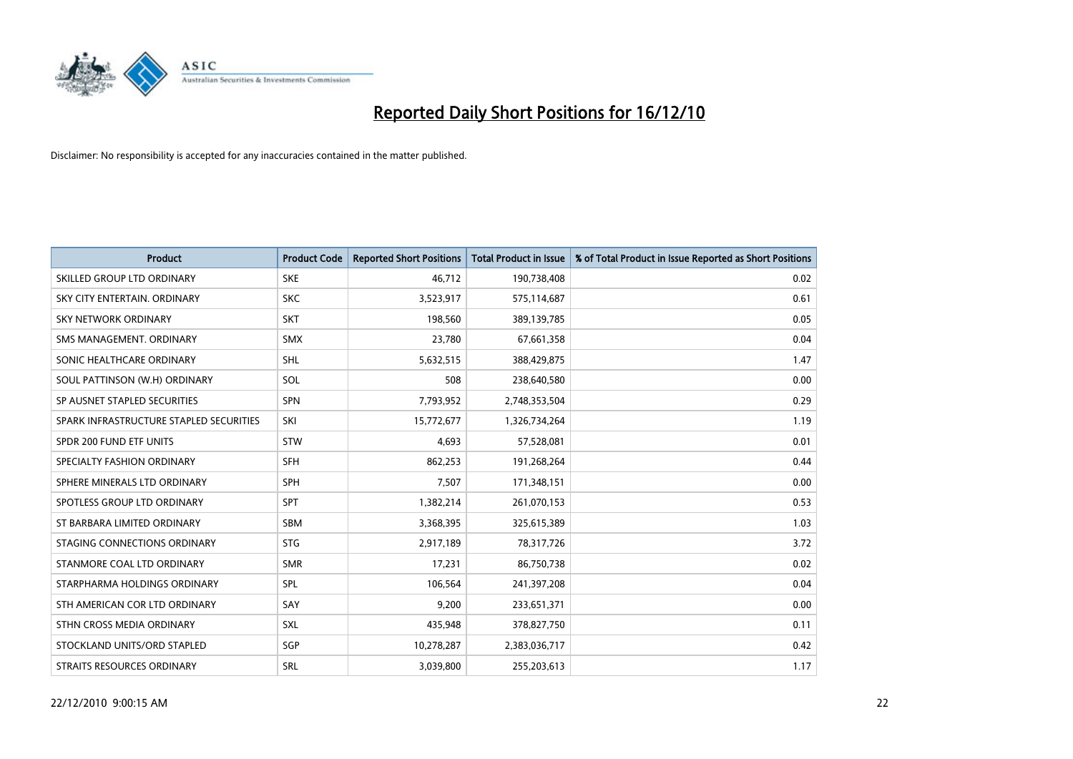

| <b>Product</b>                          | <b>Product Code</b> | <b>Reported Short Positions</b> | <b>Total Product in Issue</b> | % of Total Product in Issue Reported as Short Positions |
|-----------------------------------------|---------------------|---------------------------------|-------------------------------|---------------------------------------------------------|
| SKILLED GROUP LTD ORDINARY              | <b>SKE</b>          | 46.712                          | 190,738,408                   | 0.02                                                    |
| SKY CITY ENTERTAIN, ORDINARY            | <b>SKC</b>          | 3,523,917                       | 575,114,687                   | 0.61                                                    |
| <b>SKY NETWORK ORDINARY</b>             | <b>SKT</b>          | 198,560                         | 389,139,785                   | 0.05                                                    |
| SMS MANAGEMENT, ORDINARY                | <b>SMX</b>          | 23,780                          | 67,661,358                    | 0.04                                                    |
| SONIC HEALTHCARE ORDINARY               | <b>SHL</b>          | 5,632,515                       | 388,429,875                   | 1.47                                                    |
| SOUL PATTINSON (W.H) ORDINARY           | SOL                 | 508                             | 238,640,580                   | 0.00                                                    |
| SP AUSNET STAPLED SECURITIES            | SPN                 | 7,793,952                       | 2,748,353,504                 | 0.29                                                    |
| SPARK INFRASTRUCTURE STAPLED SECURITIES | SKI                 | 15,772,677                      | 1,326,734,264                 | 1.19                                                    |
| SPDR 200 FUND ETF UNITS                 | <b>STW</b>          | 4,693                           | 57,528,081                    | 0.01                                                    |
| SPECIALTY FASHION ORDINARY              | <b>SFH</b>          | 862,253                         | 191,268,264                   | 0.44                                                    |
| SPHERE MINERALS LTD ORDINARY            | <b>SPH</b>          | 7,507                           | 171,348,151                   | 0.00                                                    |
| SPOTLESS GROUP LTD ORDINARY             | SPT                 | 1,382,214                       | 261,070,153                   | 0.53                                                    |
| ST BARBARA LIMITED ORDINARY             | SBM                 | 3,368,395                       | 325,615,389                   | 1.03                                                    |
| STAGING CONNECTIONS ORDINARY            | <b>STG</b>          | 2,917,189                       | 78,317,726                    | 3.72                                                    |
| STANMORE COAL LTD ORDINARY              | <b>SMR</b>          | 17.231                          | 86,750,738                    | 0.02                                                    |
| STARPHARMA HOLDINGS ORDINARY            | SPL                 | 106,564                         | 241,397,208                   | 0.04                                                    |
| STH AMERICAN COR LTD ORDINARY           | SAY                 | 9,200                           | 233,651,371                   | 0.00                                                    |
| STHN CROSS MEDIA ORDINARY               | SXL                 | 435,948                         | 378,827,750                   | 0.11                                                    |
| STOCKLAND UNITS/ORD STAPLED             | SGP                 | 10,278,287                      | 2,383,036,717                 | 0.42                                                    |
| STRAITS RESOURCES ORDINARY              | SRL                 | 3,039,800                       | 255,203,613                   | 1.17                                                    |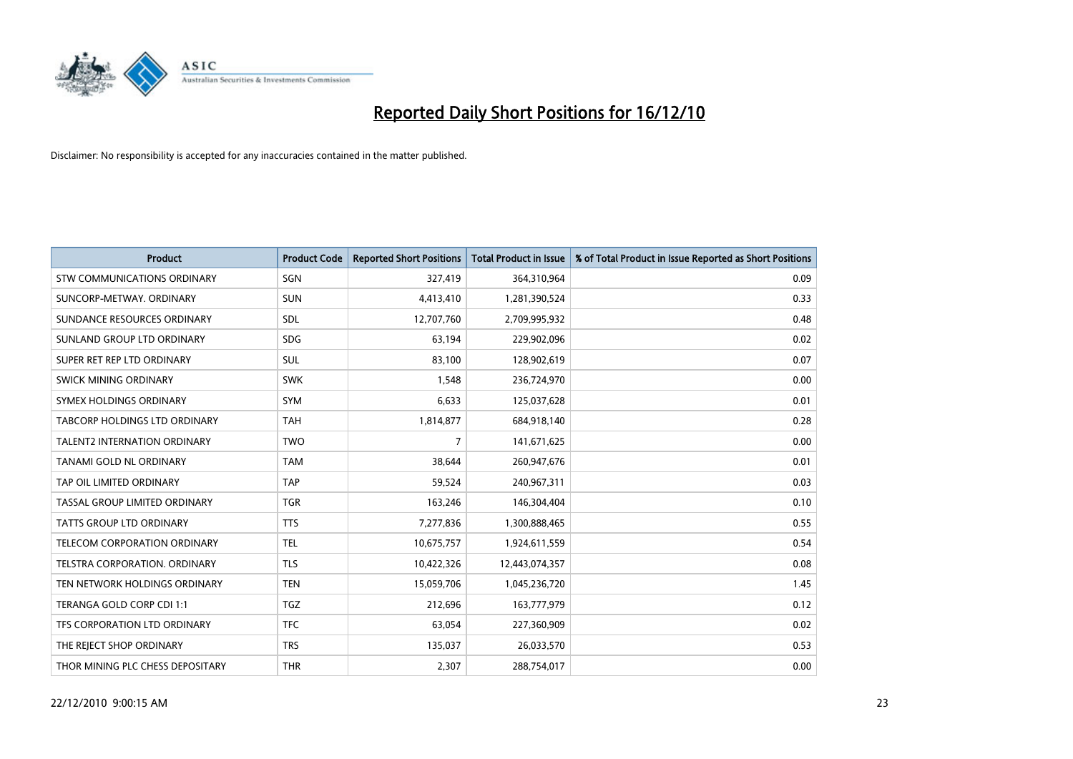

| <b>Product</b>                      | <b>Product Code</b> | <b>Reported Short Positions</b> | <b>Total Product in Issue</b> | % of Total Product in Issue Reported as Short Positions |
|-------------------------------------|---------------------|---------------------------------|-------------------------------|---------------------------------------------------------|
| <b>STW COMMUNICATIONS ORDINARY</b>  | SGN                 | 327,419                         | 364,310,964                   | 0.09                                                    |
| SUNCORP-METWAY, ORDINARY            | <b>SUN</b>          | 4,413,410                       | 1,281,390,524                 | 0.33                                                    |
| SUNDANCE RESOURCES ORDINARY         | <b>SDL</b>          | 12,707,760                      | 2,709,995,932                 | 0.48                                                    |
| SUNLAND GROUP LTD ORDINARY          | <b>SDG</b>          | 63,194                          | 229,902,096                   | 0.02                                                    |
| SUPER RET REP LTD ORDINARY          | SUL                 | 83,100                          | 128,902,619                   | 0.07                                                    |
| SWICK MINING ORDINARY               | <b>SWK</b>          | 1,548                           | 236,724,970                   | 0.00                                                    |
| SYMEX HOLDINGS ORDINARY             | <b>SYM</b>          | 6,633                           | 125,037,628                   | 0.01                                                    |
| TABCORP HOLDINGS LTD ORDINARY       | <b>TAH</b>          | 1,814,877                       | 684,918,140                   | 0.28                                                    |
| <b>TALENT2 INTERNATION ORDINARY</b> | <b>TWO</b>          | 7                               | 141,671,625                   | 0.00                                                    |
| TANAMI GOLD NL ORDINARY             | <b>TAM</b>          | 38,644                          | 260,947,676                   | 0.01                                                    |
| TAP OIL LIMITED ORDINARY            | <b>TAP</b>          | 59,524                          | 240,967,311                   | 0.03                                                    |
| TASSAL GROUP LIMITED ORDINARY       | <b>TGR</b>          | 163,246                         | 146,304,404                   | 0.10                                                    |
| TATTS GROUP LTD ORDINARY            | <b>TTS</b>          | 7,277,836                       | 1,300,888,465                 | 0.55                                                    |
| <b>TELECOM CORPORATION ORDINARY</b> | <b>TEL</b>          | 10,675,757                      | 1,924,611,559                 | 0.54                                                    |
| TELSTRA CORPORATION, ORDINARY       | <b>TLS</b>          | 10,422,326                      | 12,443,074,357                | 0.08                                                    |
| TEN NETWORK HOLDINGS ORDINARY       | <b>TEN</b>          | 15,059,706                      | 1,045,236,720                 | 1.45                                                    |
| TERANGA GOLD CORP CDI 1:1           | <b>TGZ</b>          | 212,696                         | 163,777,979                   | 0.12                                                    |
| TFS CORPORATION LTD ORDINARY        | <b>TFC</b>          | 63,054                          | 227,360,909                   | 0.02                                                    |
| THE REJECT SHOP ORDINARY            | <b>TRS</b>          | 135,037                         | 26,033,570                    | 0.53                                                    |
| THOR MINING PLC CHESS DEPOSITARY    | <b>THR</b>          | 2,307                           | 288,754,017                   | 0.00                                                    |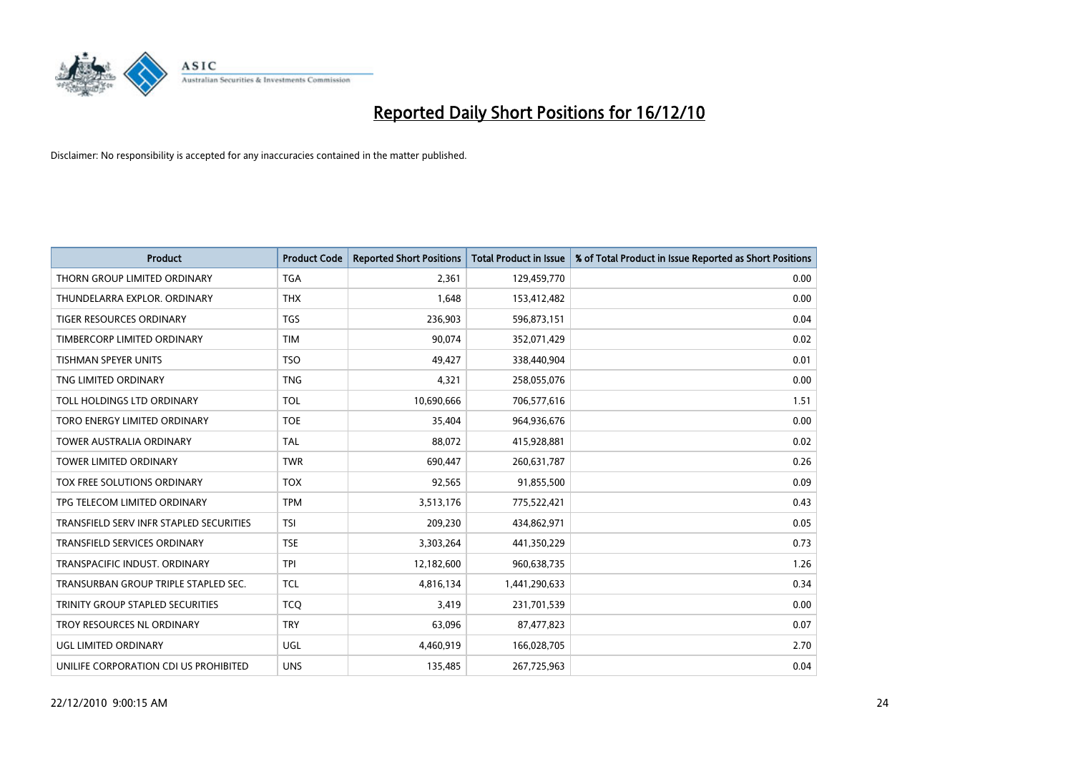

| <b>Product</b>                          | <b>Product Code</b> | <b>Reported Short Positions</b> | <b>Total Product in Issue</b> | % of Total Product in Issue Reported as Short Positions |
|-----------------------------------------|---------------------|---------------------------------|-------------------------------|---------------------------------------------------------|
| THORN GROUP LIMITED ORDINARY            | <b>TGA</b>          | 2,361                           | 129,459,770                   | 0.00                                                    |
| THUNDELARRA EXPLOR, ORDINARY            | <b>THX</b>          | 1.648                           | 153,412,482                   | 0.00                                                    |
| <b>TIGER RESOURCES ORDINARY</b>         | <b>TGS</b>          | 236,903                         | 596,873,151                   | 0.04                                                    |
| TIMBERCORP LIMITED ORDINARY             | <b>TIM</b>          | 90,074                          | 352,071,429                   | 0.02                                                    |
| <b>TISHMAN SPEYER UNITS</b>             | <b>TSO</b>          | 49.427                          | 338,440,904                   | 0.01                                                    |
| TNG LIMITED ORDINARY                    | <b>TNG</b>          | 4,321                           | 258,055,076                   | 0.00                                                    |
| TOLL HOLDINGS LTD ORDINARY              | <b>TOL</b>          | 10,690,666                      | 706,577,616                   | 1.51                                                    |
| TORO ENERGY LIMITED ORDINARY            | <b>TOE</b>          | 35,404                          | 964,936,676                   | 0.00                                                    |
| <b>TOWER AUSTRALIA ORDINARY</b>         | <b>TAL</b>          | 88,072                          | 415,928,881                   | 0.02                                                    |
| <b>TOWER LIMITED ORDINARY</b>           | <b>TWR</b>          | 690,447                         | 260,631,787                   | 0.26                                                    |
| TOX FREE SOLUTIONS ORDINARY             | <b>TOX</b>          | 92,565                          | 91,855,500                    | 0.09                                                    |
| TPG TELECOM LIMITED ORDINARY            | <b>TPM</b>          | 3,513,176                       | 775,522,421                   | 0.43                                                    |
| TRANSFIELD SERV INFR STAPLED SECURITIES | <b>TSI</b>          | 209,230                         | 434,862,971                   | 0.05                                                    |
| <b>TRANSFIELD SERVICES ORDINARY</b>     | <b>TSE</b>          | 3,303,264                       | 441,350,229                   | 0.73                                                    |
| TRANSPACIFIC INDUST. ORDINARY           | <b>TPI</b>          | 12,182,600                      | 960,638,735                   | 1.26                                                    |
| TRANSURBAN GROUP TRIPLE STAPLED SEC.    | <b>TCL</b>          | 4,816,134                       | 1,441,290,633                 | 0.34                                                    |
| TRINITY GROUP STAPLED SECURITIES        | <b>TCQ</b>          | 3,419                           | 231,701,539                   | 0.00                                                    |
| TROY RESOURCES NL ORDINARY              | <b>TRY</b>          | 63,096                          | 87,477,823                    | 0.07                                                    |
| <b>UGL LIMITED ORDINARY</b>             | <b>UGL</b>          | 4,460,919                       | 166,028,705                   | 2.70                                                    |
| UNILIFE CORPORATION CDI US PROHIBITED   | <b>UNS</b>          | 135,485                         | 267,725,963                   | 0.04                                                    |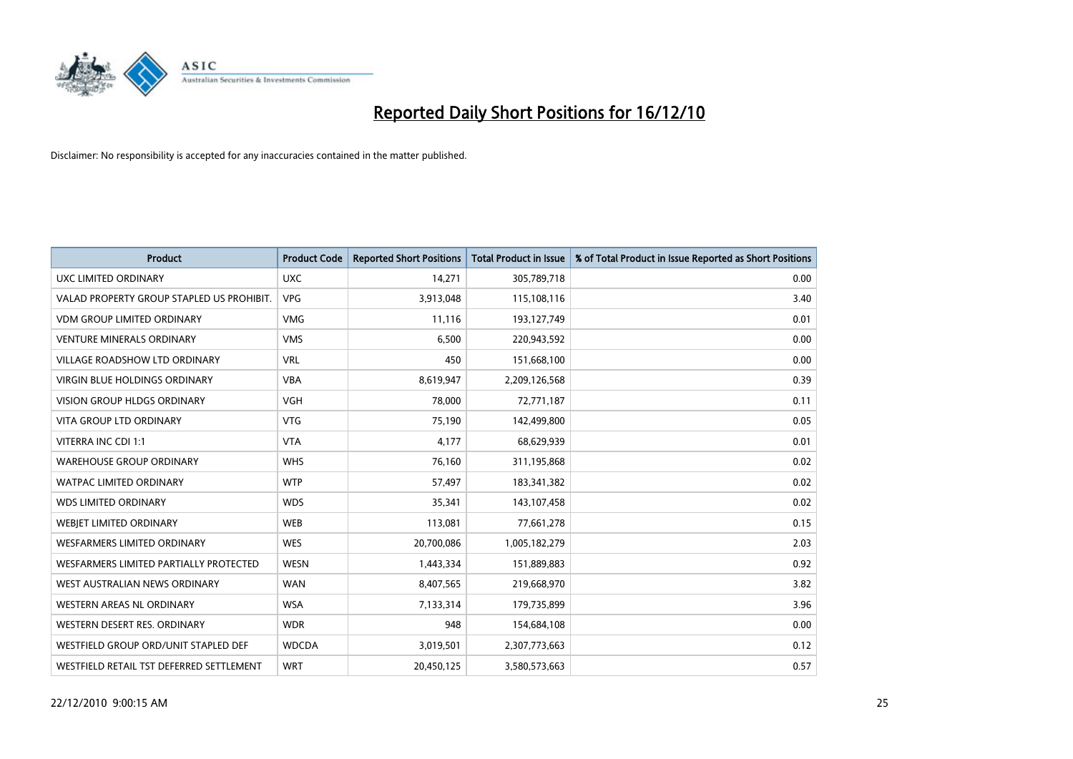

| <b>Product</b>                            | <b>Product Code</b> | <b>Reported Short Positions</b> | Total Product in Issue | % of Total Product in Issue Reported as Short Positions |
|-------------------------------------------|---------------------|---------------------------------|------------------------|---------------------------------------------------------|
| <b>UXC LIMITED ORDINARY</b>               | <b>UXC</b>          | 14,271                          | 305,789,718            | 0.00                                                    |
| VALAD PROPERTY GROUP STAPLED US PROHIBIT. | <b>VPG</b>          | 3,913,048                       | 115,108,116            | 3.40                                                    |
| <b>VDM GROUP LIMITED ORDINARY</b>         | <b>VMG</b>          | 11,116                          | 193,127,749            | 0.01                                                    |
| <b>VENTURE MINERALS ORDINARY</b>          | <b>VMS</b>          | 6,500                           | 220,943,592            | 0.00                                                    |
| <b>VILLAGE ROADSHOW LTD ORDINARY</b>      | <b>VRL</b>          | 450                             | 151,668,100            | 0.00                                                    |
| <b>VIRGIN BLUE HOLDINGS ORDINARY</b>      | <b>VBA</b>          | 8,619,947                       | 2,209,126,568          | 0.39                                                    |
| <b>VISION GROUP HLDGS ORDINARY</b>        | <b>VGH</b>          | 78,000                          | 72,771,187             | 0.11                                                    |
| VITA GROUP LTD ORDINARY                   | <b>VTG</b>          | 75,190                          | 142,499,800            | 0.05                                                    |
| VITERRA INC CDI 1:1                       | <b>VTA</b>          | 4,177                           | 68,629,939             | 0.01                                                    |
| <b>WAREHOUSE GROUP ORDINARY</b>           | <b>WHS</b>          | 76,160                          | 311,195,868            | 0.02                                                    |
| WATPAC LIMITED ORDINARY                   | <b>WTP</b>          | 57,497                          | 183,341,382            | 0.02                                                    |
| <b>WDS LIMITED ORDINARY</b>               | <b>WDS</b>          | 35,341                          | 143,107,458            | 0.02                                                    |
| WEBIET LIMITED ORDINARY                   | <b>WEB</b>          | 113,081                         | 77,661,278             | 0.15                                                    |
| <b>WESFARMERS LIMITED ORDINARY</b>        | <b>WES</b>          | 20,700,086                      | 1,005,182,279          | 2.03                                                    |
| WESFARMERS LIMITED PARTIALLY PROTECTED    | <b>WESN</b>         | 1,443,334                       | 151,889,883            | 0.92                                                    |
| WEST AUSTRALIAN NEWS ORDINARY             | <b>WAN</b>          | 8,407,565                       | 219,668,970            | 3.82                                                    |
| WESTERN AREAS NL ORDINARY                 | <b>WSA</b>          | 7,133,314                       | 179,735,899            | 3.96                                                    |
| WESTERN DESERT RES. ORDINARY              | <b>WDR</b>          | 948                             | 154,684,108            | 0.00                                                    |
| WESTFIELD GROUP ORD/UNIT STAPLED DEF      | <b>WDCDA</b>        | 3,019,501                       | 2,307,773,663          | 0.12                                                    |
| WESTFIELD RETAIL TST DEFERRED SETTLEMENT  | <b>WRT</b>          | 20,450,125                      | 3,580,573,663          | 0.57                                                    |